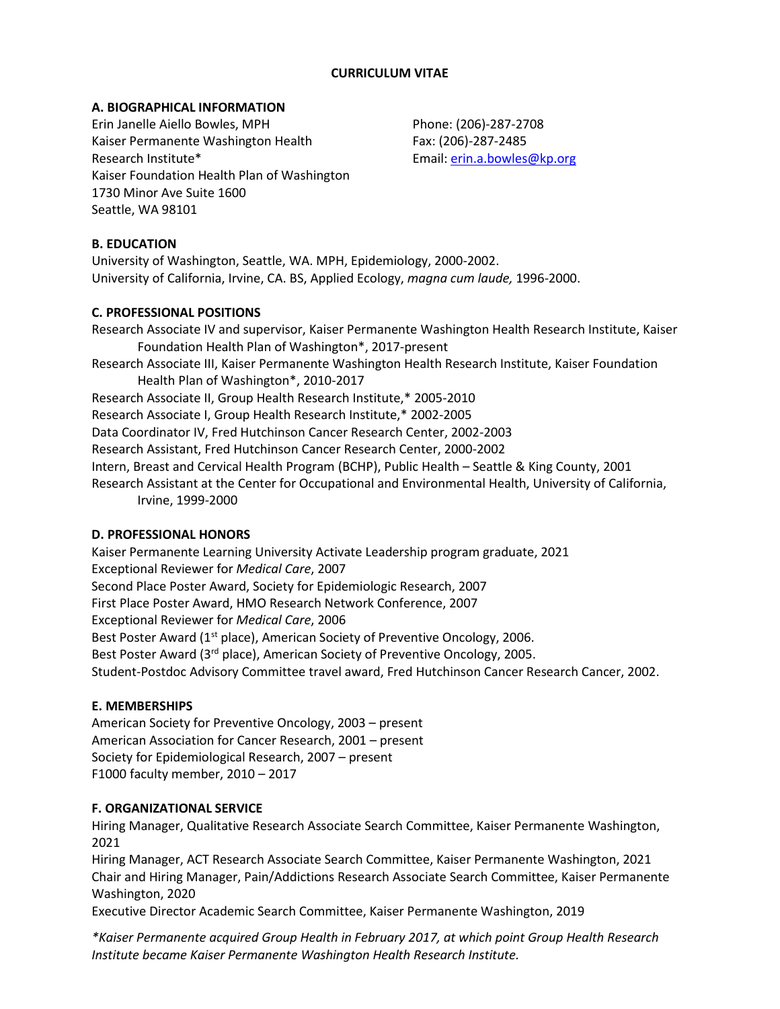### **CURRICULUM VITAE**

### **A. BIOGRAPHICAL INFORMATION**

Erin Janelle Aiello Bowles, MPH Kaiser Permanente Washington Health Research Institute\* Kaiser Foundation Health Plan of Washington 1730 Minor Ave Suite 1600 Seattle, WA 98101

Phone: (206)-287-2708 Fax: (206)-287-2485 Email: [erin.a.bowles@kp.org](mailto:erin.a.bowles@kp.org)

## **B. EDUCATION**

University of Washington, Seattle, WA. MPH, Epidemiology, 2000-2002. University of California, Irvine, CA. BS, Applied Ecology, *magna cum laude,* 1996-2000.

#### **C. PROFESSIONAL POSITIONS**

Research Associate IV and supervisor, Kaiser Permanente Washington Health Research Institute, Kaiser Foundation Health Plan of Washington\*, 2017-present Research Associate III, Kaiser Permanente Washington Health Research Institute, Kaiser Foundation Health Plan of Washington\*, 2010-2017 Research Associate II, Group Health Research Institute,\* 2005-2010 Research Associate I, Group Health Research Institute,\* 2002-2005 Data Coordinator IV, Fred Hutchinson Cancer Research Center, 2002-2003 Research Assistant, Fred Hutchinson Cancer Research Center, 2000-2002 Intern, Breast and Cervical Health Program (BCHP), Public Health – Seattle & King County, 2001 Research Assistant at the Center for Occupational and Environmental Health, University of California, Irvine, 1999-2000

#### **D. PROFESSIONAL HONORS**

Kaiser Permanente Learning University Activate Leadership program graduate, 2021 Exceptional Reviewer for *Medical Care*, 2007 Second Place Poster Award, Society for Epidemiologic Research, 2007 First Place Poster Award, HMO Research Network Conference, 2007 Exceptional Reviewer for *Medical Care*, 2006 Best Poster Award (1<sup>st</sup> place), American Society of Preventive Oncology, 2006. Best Poster Award (3<sup>rd</sup> place), American Society of Preventive Oncology, 2005. Student-Postdoc Advisory Committee travel award, Fred Hutchinson Cancer Research Cancer, 2002.

## **E. MEMBERSHIPS**

American Society for Preventive Oncology, 2003 – present American Association for Cancer Research, 2001 – present Society for Epidemiological Research, 2007 – present F1000 faculty member, 2010 – 2017

## **F. ORGANIZATIONAL SERVICE**

Hiring Manager, Qualitative Research Associate Search Committee, Kaiser Permanente Washington, 2021

Hiring Manager, ACT Research Associate Search Committee, Kaiser Permanente Washington, 2021 Chair and Hiring Manager, Pain/Addictions Research Associate Search Committee, Kaiser Permanente Washington, 2020

Executive Director Academic Search Committee, Kaiser Permanente Washington, 2019

*\*Kaiser Permanente acquired Group Health in February 2017, at which point Group Health Research Institute became Kaiser Permanente Washington Health Research Institute.*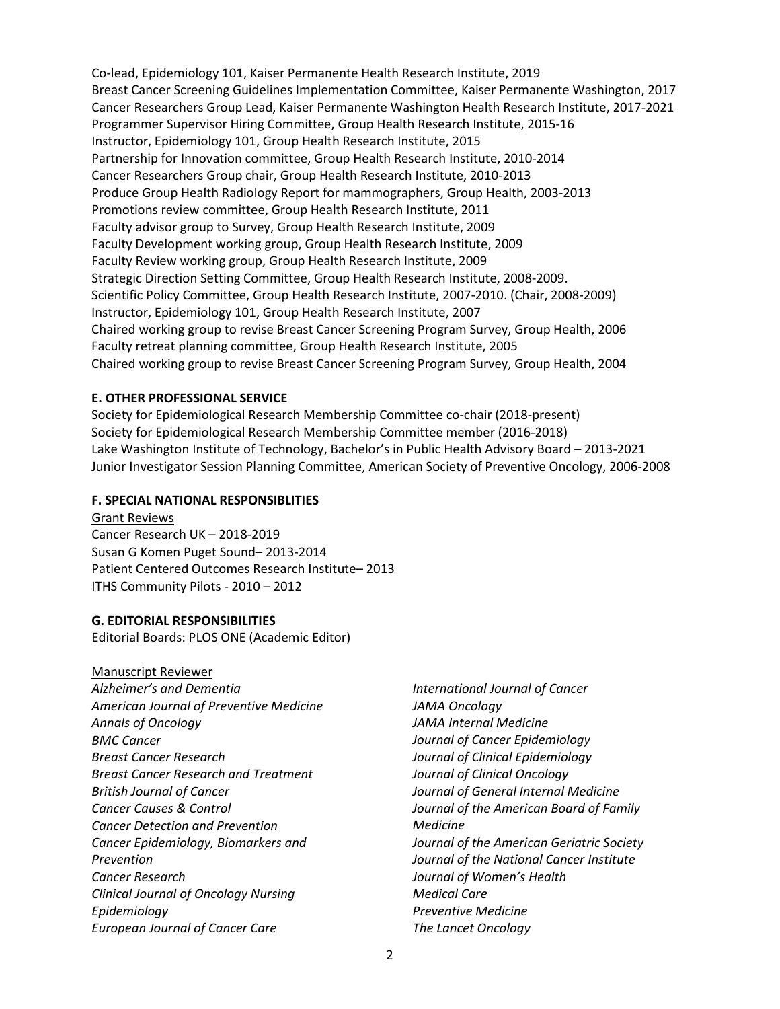Co-lead, Epidemiology 101, Kaiser Permanente Health Research Institute, 2019 Breast Cancer Screening Guidelines Implementation Committee, Kaiser Permanente Washington, 2017 Cancer Researchers Group Lead, Kaiser Permanente Washington Health Research Institute, 2017-2021 Programmer Supervisor Hiring Committee, Group Health Research Institute, 2015-16 Instructor, Epidemiology 101, Group Health Research Institute, 2015 Partnership for Innovation committee, Group Health Research Institute, 2010-2014 Cancer Researchers Group chair, Group Health Research Institute, 2010-2013 Produce Group Health Radiology Report for mammographers, Group Health, 2003-2013 Promotions review committee, Group Health Research Institute, 2011 Faculty advisor group to Survey, Group Health Research Institute, 2009 Faculty Development working group, Group Health Research Institute, 2009 Faculty Review working group, Group Health Research Institute, 2009 Strategic Direction Setting Committee, Group Health Research Institute, 2008-2009. Scientific Policy Committee, Group Health Research Institute, 2007-2010. (Chair, 2008-2009) Instructor, Epidemiology 101, Group Health Research Institute, 2007 Chaired working group to revise Breast Cancer Screening Program Survey, Group Health, 2006 Faculty retreat planning committee, Group Health Research Institute, 2005 Chaired working group to revise Breast Cancer Screening Program Survey, Group Health, 2004

#### **E. OTHER PROFESSIONAL SERVICE**

Society for Epidemiological Research Membership Committee co-chair (2018-present) Society for Epidemiological Research Membership Committee member (2016-2018) Lake Washington Institute of Technology, Bachelor's in Public Health Advisory Board – 2013-2021 Junior Investigator Session Planning Committee, American Society of Preventive Oncology, 2006-2008

#### **F. SPECIAL NATIONAL RESPONSIBLITIES**

Grant Reviews Cancer Research UK – 2018-2019 Susan G Komen Puget Sound– 2013-2014 Patient Centered Outcomes Research Institute– 2013 ITHS Community Pilots - 2010 – 2012

#### **G. EDITORIAL RESPONSIBILITIES**

Editorial Boards: PLOS ONE (Academic Editor)

Manuscript Reviewer *Alzheimer's and Dementia American Journal of Preventive Medicine Annals of Oncology BMC Cancer Breast Cancer Research Breast Cancer Research and Treatment British Journal of Cancer Cancer Causes & Control Cancer Detection and Prevention Cancer Epidemiology, Biomarkers and Prevention Cancer Research Clinical Journal of Oncology Nursing Epidemiology European Journal of Cancer Care*

*International Journal of Cancer JAMA Oncology JAMA Internal Medicine Journal of Cancer Epidemiology Journal of Clinical Epidemiology Journal of Clinical Oncology Journal of General Internal Medicine Journal of the American Board of Family Medicine Journal of the American Geriatric Society Journal of the National Cancer Institute Journal of Women's Health Medical Care Preventive Medicine The Lancet Oncology*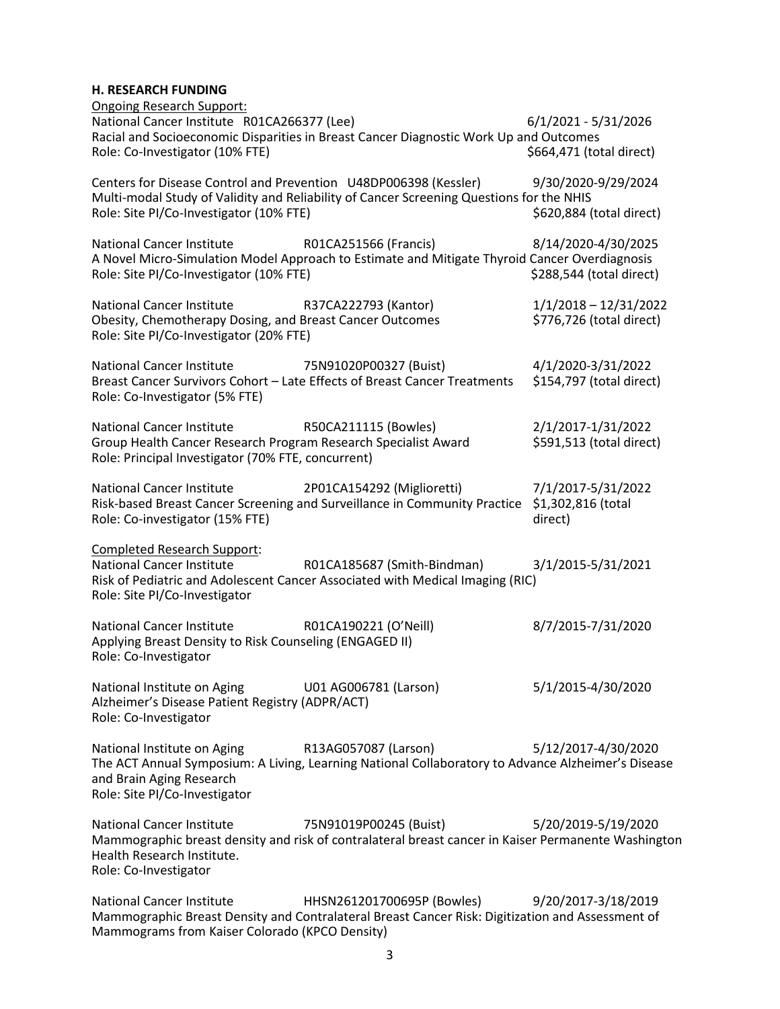#### **H. RESEARCH FUNDING**

| <b>Ongoing Research Support:</b>                                                                                                                         |                                                                                                                                |                                                     |
|----------------------------------------------------------------------------------------------------------------------------------------------------------|--------------------------------------------------------------------------------------------------------------------------------|-----------------------------------------------------|
| National Cancer Institute R01CA266377 (Lee)<br>Role: Co-Investigator (10% FTE)                                                                           | Racial and Socioeconomic Disparities in Breast Cancer Diagnostic Work Up and Outcomes                                          | $6/1/2021 - 5/31/2026$<br>\$664,471 (total direct)  |
| Centers for Disease Control and Prevention U48DP006398 (Kessler)<br>Role: Site PI/Co-Investigator (10% FTE)                                              | Multi-modal Study of Validity and Reliability of Cancer Screening Questions for the NHIS                                       | 9/30/2020-9/29/2024<br>\$620,884 (total direct)     |
| <b>National Cancer Institute</b><br>Role: Site PI/Co-Investigator (10% FTE)                                                                              | R01CA251566 (Francis)<br>A Novel Micro-Simulation Model Approach to Estimate and Mitigate Thyroid Cancer Overdiagnosis         | 8/14/2020-4/30/2025<br>\$288,544 (total direct)     |
| <b>National Cancer Institute</b><br>Obesity, Chemotherapy Dosing, and Breast Cancer Outcomes<br>Role: Site PI/Co-Investigator (20% FTE)                  | R37CA222793 (Kantor)                                                                                                           | $1/1/2018 - 12/31/2022$<br>\$776,726 (total direct) |
| <b>National Cancer Institute</b><br>Role: Co-Investigator (5% FTE)                                                                                       | 75N91020P00327 (Buist)<br>Breast Cancer Survivors Cohort - Late Effects of Breast Cancer Treatments                            | 4/1/2020-3/31/2022<br>\$154,797 (total direct)      |
| <b>National Cancer Institute</b><br>Group Health Cancer Research Program Research Specialist Award<br>Role: Principal Investigator (70% FTE, concurrent) | R50CA211115 (Bowles)                                                                                                           | 2/1/2017-1/31/2022<br>\$591,513 (total direct)      |
| <b>National Cancer Institute</b><br>Role: Co-investigator (15% FTE)                                                                                      | 2P01CA154292 (Miglioretti)<br>Risk-based Breast Cancer Screening and Surveillance in Community Practice \$1,302,816 (total     | 7/1/2017-5/31/2022<br>direct)                       |
| <b>Completed Research Support:</b><br><b>National Cancer Institute</b><br>Role: Site PI/Co-Investigator                                                  | R01CA185687 (Smith-Bindman)<br>Risk of Pediatric and Adolescent Cancer Associated with Medical Imaging (RIC)                   | 3/1/2015-5/31/2021                                  |
| <b>National Cancer Institute</b><br>Applying Breast Density to Risk Counseling (ENGAGED II)<br>Role: Co-Investigator                                     | R01CA190221 (O'Neill)                                                                                                          | 8/7/2015-7/31/2020                                  |
| National Institute on Aging<br>Alzheimer's Disease Patient Registry (ADPR/ACT)<br>Role: Co-Investigator                                                  | U01 AG006781 (Larson)                                                                                                          | 5/1/2015-4/30/2020                                  |
| National Institute on Aging<br>and Brain Aging Research<br>Role: Site PI/Co-Investigator                                                                 | R13AG057087 (Larson)<br>The ACT Annual Symposium: A Living, Learning National Collaboratory to Advance Alzheimer's Disease     | 5/12/2017-4/30/2020                                 |
| <b>National Cancer Institute</b><br>Health Research Institute.<br>Role: Co-Investigator                                                                  | 75N91019P00245 (Buist)<br>Mammographic breast density and risk of contralateral breast cancer in Kaiser Permanente Washington  | 5/20/2019-5/19/2020                                 |
| <b>National Cancer Institute</b><br>Mammograms from Kaiser Colorado (KPCO Density)                                                                       | HHSN261201700695P (Bowles)<br>Mammographic Breast Density and Contralateral Breast Cancer Risk: Digitization and Assessment of | 9/20/2017-3/18/2019                                 |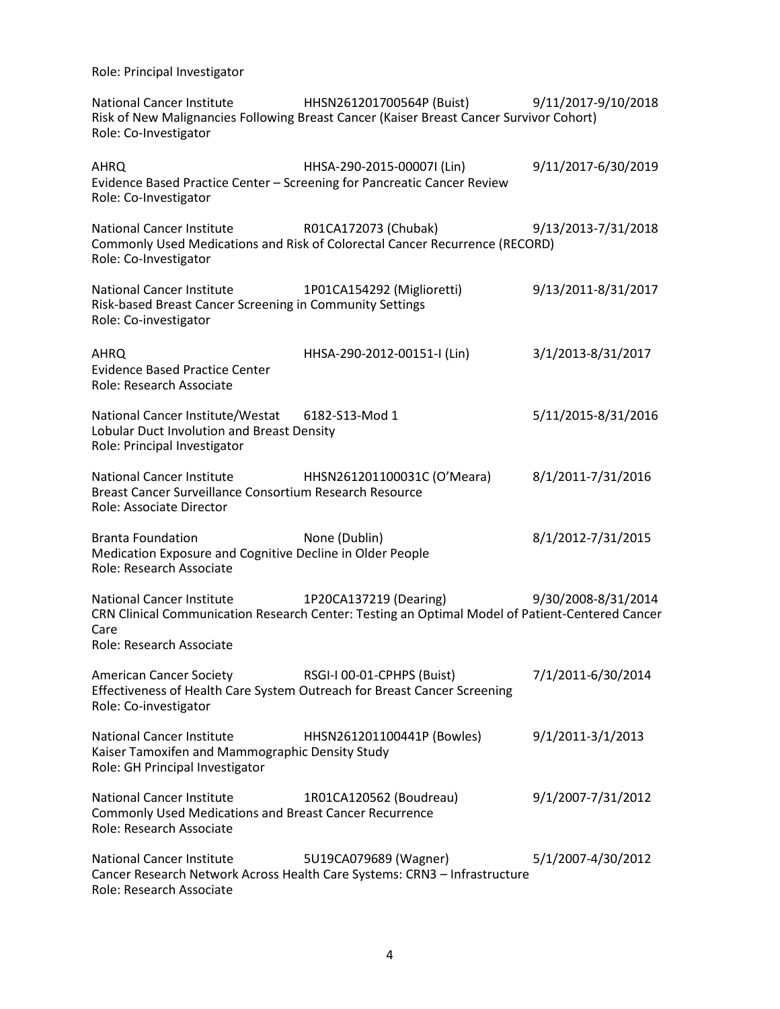Role: Principal Investigator

National Cancer Institute HHSN261201700564P (Buist) 9/11/2017-9/10/2018 Risk of New Malignancies Following Breast Cancer (Kaiser Breast Cancer Survivor Cohort) Role: Co-Investigator

| <b>AHRQ</b><br>Role: Co-Investigator                                                                                          | HHSA-290-2015-00007I (Lin)<br>Evidence Based Practice Center - Screening for Pancreatic Cancer Review                     | 9/11/2017-6/30/2019 |
|-------------------------------------------------------------------------------------------------------------------------------|---------------------------------------------------------------------------------------------------------------------------|---------------------|
| National Cancer Institute<br>Role: Co-Investigator                                                                            | R01CA172073 (Chubak)<br>Commonly Used Medications and Risk of Colorectal Cancer Recurrence (RECORD)                       | 9/13/2013-7/31/2018 |
| <b>National Cancer Institute</b><br>Risk-based Breast Cancer Screening in Community Settings<br>Role: Co-investigator         | 1P01CA154292 (Miglioretti)                                                                                                | 9/13/2011-8/31/2017 |
| AHRQ<br><b>Evidence Based Practice Center</b><br>Role: Research Associate                                                     | HHSA-290-2012-00151-I (Lin)                                                                                               | 3/1/2013-8/31/2017  |
| National Cancer Institute/Westat 6182-S13-Mod 1<br>Lobular Duct Involution and Breast Density<br>Role: Principal Investigator |                                                                                                                           | 5/11/2015-8/31/2016 |
| <b>National Cancer Institute</b><br>Breast Cancer Surveillance Consortium Research Resource<br>Role: Associate Director       | HHSN261201100031C (O'Meara)                                                                                               | 8/1/2011-7/31/2016  |
| <b>Branta Foundation</b><br>Medication Exposure and Cognitive Decline in Older People<br>Role: Research Associate             | None (Dublin)                                                                                                             | 8/1/2012-7/31/2015  |
| <b>National Cancer Institute</b><br>Care<br>Role: Research Associate                                                          | 1P20CA137219 (Dearing)<br>CRN Clinical Communication Research Center: Testing an Optimal Model of Patient-Centered Cancer | 9/30/2008-8/31/2014 |
| <b>American Cancer Society</b><br>Role: Co-investigator                                                                       | RSGI-I 00-01-CPHPS (Buist)<br>Effectiveness of Health Care System Outreach for Breast Cancer Screening                    | 7/1/2011-6/30/2014  |
| <b>National Cancer Institute</b><br>Kaiser Tamoxifen and Mammographic Density Study<br>Role: GH Principal Investigator        | HHSN261201100441P (Bowles)                                                                                                | 9/1/2011-3/1/2013   |
| <b>National Cancer Institute</b><br>Commonly Used Medications and Breast Cancer Recurrence<br>Role: Research Associate        | 1R01CA120562 (Boudreau)                                                                                                   | 9/1/2007-7/31/2012  |
| <b>National Cancer Institute</b><br>Role: Research Associate                                                                  | 5U19CA079689 (Wagner)<br>Cancer Research Network Across Health Care Systems: CRN3 - Infrastructure                        | 5/1/2007-4/30/2012  |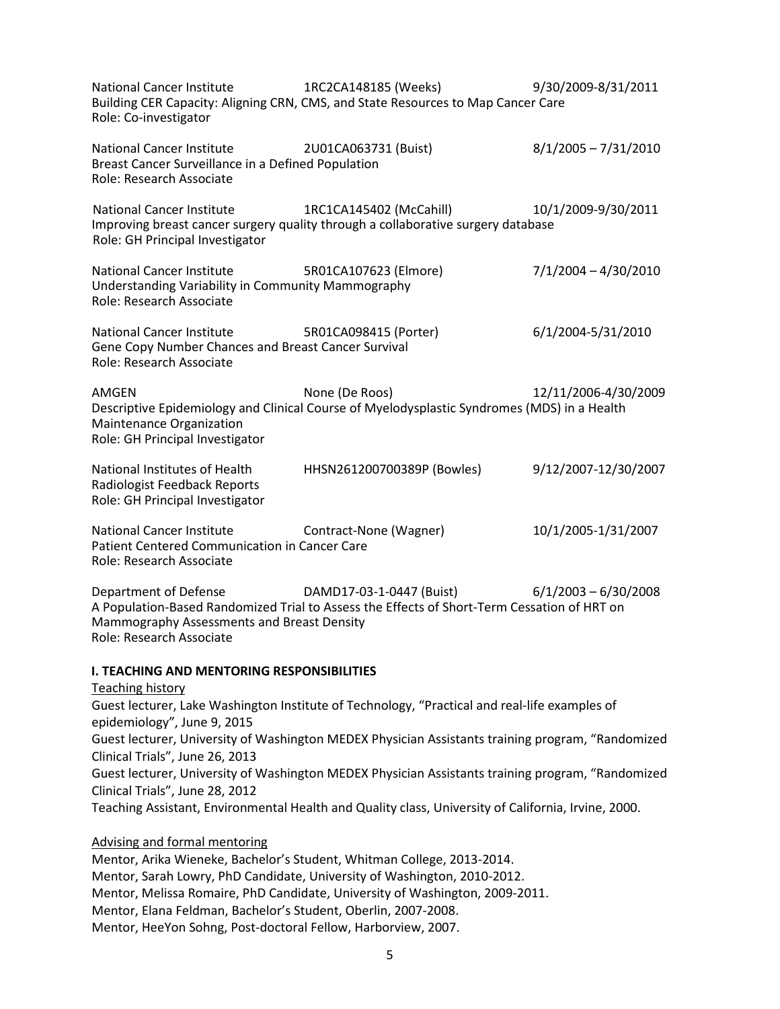| <b>National Cancer Institute</b><br>Role: Co-investigator                                                           | 1RC2CA148185 (Weeks)<br>Building CER Capacity: Aligning CRN, CMS, and State Resources to Map Cancer Care                | 9/30/2009-8/31/2011    |  |  |
|---------------------------------------------------------------------------------------------------------------------|-------------------------------------------------------------------------------------------------------------------------|------------------------|--|--|
| <b>National Cancer Institute</b><br>Breast Cancer Surveillance in a Defined Population<br>Role: Research Associate  | 2U01CA063731 (Buist)                                                                                                    | $8/1/2005 - 7/31/2010$ |  |  |
| <b>National Cancer Institute</b><br>Role: GH Principal Investigator                                                 | 1RC1CA145402 (McCahill)<br>Improving breast cancer surgery quality through a collaborative surgery database             | 10/1/2009-9/30/2011    |  |  |
| <b>National Cancer Institute</b><br>Understanding Variability in Community Mammography<br>Role: Research Associate  | 5R01CA107623 (Elmore)                                                                                                   | $7/1/2004 - 4/30/2010$ |  |  |
| <b>National Cancer Institute</b><br>Gene Copy Number Chances and Breast Cancer Survival<br>Role: Research Associate | 5R01CA098415 (Porter)                                                                                                   | 6/1/2004-5/31/2010     |  |  |
| AMGEN<br>Maintenance Organization<br>Role: GH Principal Investigator                                                | None (De Roos)<br>Descriptive Epidemiology and Clinical Course of Myelodysplastic Syndromes (MDS) in a Health           | 12/11/2006-4/30/2009   |  |  |
| National Institutes of Health<br>Radiologist Feedback Reports<br>Role: GH Principal Investigator                    | HHSN261200700389P (Bowles)                                                                                              | 9/12/2007-12/30/2007   |  |  |
| <b>National Cancer Institute</b><br>Patient Centered Communication in Cancer Care<br>Role: Research Associate       | Contract-None (Wagner)                                                                                                  | 10/1/2005-1/31/2007    |  |  |
| Department of Defense<br>Mammography Assessments and Breast Density<br>Role: Research Associate                     | DAMD17-03-1-0447 (Buist)<br>A Population-Based Randomized Trial to Assess the Effects of Short-Term Cessation of HRT on | $6/1/2003 - 6/30/2008$ |  |  |
| <b>I. TEACHING AND MENTORING RESPONSIBILITIES</b>                                                                   |                                                                                                                         |                        |  |  |
| <b>Teaching history</b>                                                                                             |                                                                                                                         |                        |  |  |
| Guest lecturer, Lake Washington Institute of Technology, "Practical and real-life examples of                       |                                                                                                                         |                        |  |  |
| epidemiology", June 9, 2015                                                                                         | Guest lecturer, University of Washington MEDEX Physician Assistants training program, "Randomized                       |                        |  |  |
| Clinical Trials", June 26, 2013                                                                                     |                                                                                                                         |                        |  |  |
|                                                                                                                     | Guest lecturer, University of Washington MEDEX Physician Assistants training program, "Randomized                       |                        |  |  |
| Clinical Trials", June 28, 2012                                                                                     | Teaching Assistant, Environmental Health and Quality class, University of California, Irvine, 2000.                     |                        |  |  |
| <b>Advising and formal mentoring</b>                                                                                |                                                                                                                         |                        |  |  |
|                                                                                                                     | Mentor, Arika Wieneke, Bachelor's Student, Whitman College, 2013-2014.                                                  |                        |  |  |

Mentor, Sarah Lowry, PhD Candidate, University of Washington, 2010-2012. Mentor, Melissa Romaire, PhD Candidate, University of Washington, 2009-2011. Mentor, Elana Feldman, Bachelor's Student, Oberlin, 2007-2008. Mentor, HeeYon Sohng, Post-doctoral Fellow, Harborview, 2007.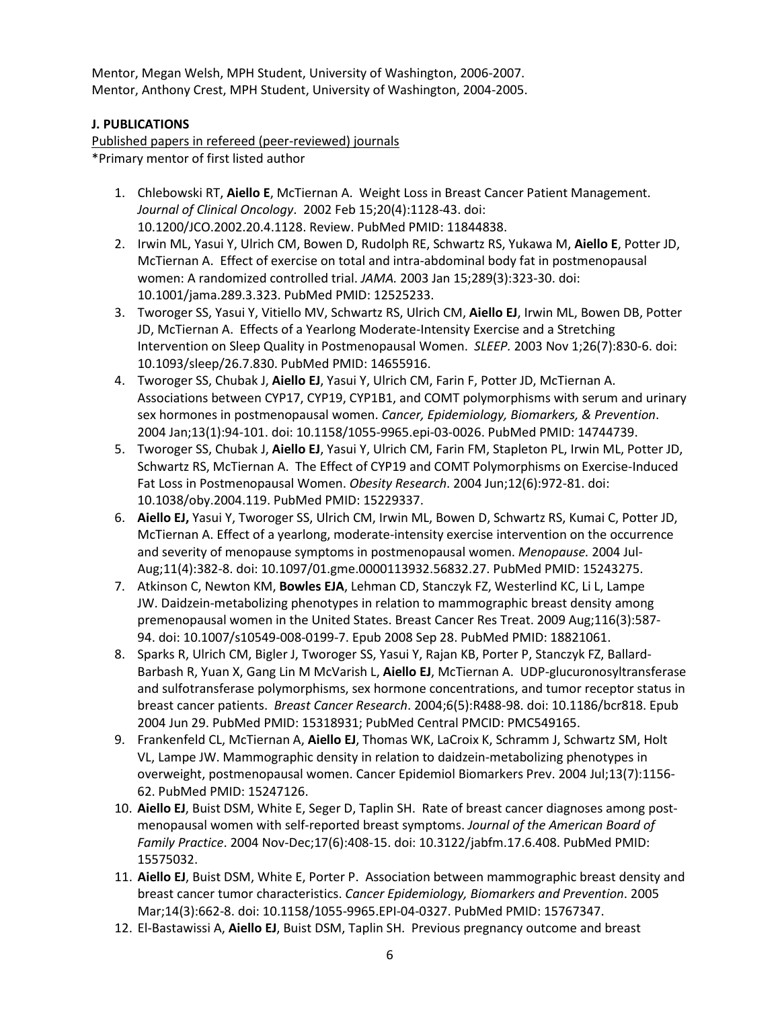Mentor, Megan Welsh, MPH Student, University of Washington, 2006-2007. Mentor, Anthony Crest, MPH Student, University of Washington, 2004-2005.

## **J. PUBLICATIONS**

Published papers in refereed (peer-reviewed) journals \*Primary mentor of first listed author

- 1. Chlebowski RT, **Aiello E**, McTiernan A. Weight Loss in Breast Cancer Patient Management. *Journal of Clinical Oncology*. 2002 Feb 15;20(4):1128-43. doi: 10.1200/JCO.2002.20.4.1128. Review. PubMed PMID: 11844838.
- 2. Irwin ML, Yasui Y, Ulrich CM, Bowen D, Rudolph RE, Schwartz RS, Yukawa M, **Aiello E**, Potter JD, McTiernan A. Effect of exercise on total and intra-abdominal body fat in postmenopausal women: A randomized controlled trial. *JAMA.* 2003 Jan 15;289(3):323-30. doi: 10.1001/jama.289.3.323. PubMed PMID: 12525233.
- 3. Tworoger SS, Yasui Y, Vitiello MV, Schwartz RS, Ulrich CM, **Aiello EJ**, Irwin ML, Bowen DB, Potter JD, McTiernan A. Effects of a Yearlong Moderate-Intensity Exercise and a Stretching Intervention on Sleep Quality in Postmenopausal Women. *SLEEP.* 2003 Nov 1;26(7):830-6. doi: 10.1093/sleep/26.7.830. PubMed PMID: 14655916.
- 4. Tworoger SS, Chubak J, **Aiello EJ**, Yasui Y, Ulrich CM, Farin F, Potter JD, McTiernan A. Associations between CYP17, CYP19, CYP1B1, and COMT polymorphisms with serum and urinary sex hormones in postmenopausal women. *Cancer, Epidemiology, Biomarkers, & Prevention*. 2004 Jan;13(1):94-101. doi: 10.1158/1055-9965.epi-03-0026. PubMed PMID: 14744739.
- 5. Tworoger SS, Chubak J, **Aiello EJ**, Yasui Y, Ulrich CM, Farin FM, Stapleton PL, Irwin ML, Potter JD, Schwartz RS, McTiernan A. The Effect of CYP19 and COMT Polymorphisms on Exercise-Induced Fat Loss in Postmenopausal Women. *Obesity Research*. 2004 Jun;12(6):972-81. doi: 10.1038/oby.2004.119. PubMed PMID: 15229337.
- 6. **Aiello EJ,** Yasui Y, Tworoger SS, Ulrich CM, Irwin ML, Bowen D, Schwartz RS, Kumai C, Potter JD, McTiernan A. Effect of a yearlong, moderate-intensity exercise intervention on the occurrence and severity of menopause symptoms in postmenopausal women. *Menopause.* 2004 Jul-Aug;11(4):382-8. doi: 10.1097/01.gme.0000113932.56832.27. PubMed PMID: 15243275.
- 7. Atkinson C, Newton KM, **Bowles EJA**, Lehman CD, Stanczyk FZ, Westerlind KC, Li L, Lampe JW. Daidzein-metabolizing phenotypes in relation to mammographic breast density among premenopausal women in the United States. Breast Cancer Res Treat. 2009 Aug;116(3):587- 94. doi: 10.1007/s10549-008-0199-7. Epub 2008 Sep 28. PubMed PMID: 18821061.
- 8. Sparks R, Ulrich CM, Bigler J, Tworoger SS, Yasui Y, Rajan KB, Porter P, Stanczyk FZ, Ballard-Barbash R, Yuan X, Gang Lin M McVarish L, **Aiello EJ**, McTiernan A. UDP-glucuronosyltransferase and sulfotransferase polymorphisms, sex hormone concentrations, and tumor receptor status in breast cancer patients. *Breast Cancer Research*. 2004;6(5):R488-98. doi: 10.1186/bcr818. Epub 2004 Jun 29. PubMed PMID: 15318931; PubMed Central PMCID: PMC549165.
- 9. Frankenfeld CL, McTiernan A, **Aiello EJ**, Thomas WK, LaCroix K, Schramm J, Schwartz SM, Holt VL, Lampe JW. Mammographic density in relation to daidzein-metabolizing phenotypes in overweight, postmenopausal women. Cancer Epidemiol Biomarkers Prev. 2004 Jul;13(7):1156- 62. PubMed PMID: 15247126.
- 10. **Aiello EJ**, Buist DSM, White E, Seger D, Taplin SH. Rate of breast cancer diagnoses among postmenopausal women with self-reported breast symptoms. *Journal of the American Board of Family Practice*. 2004 Nov-Dec;17(6):408-15. doi: 10.3122/jabfm.17.6.408. PubMed PMID: 15575032.
- 11. **Aiello EJ**, Buist DSM, White E, Porter P. Association between mammographic breast density and breast cancer tumor characteristics. *Cancer Epidemiology, Biomarkers and Prevention*. 2005 Mar;14(3):662-8. doi: 10.1158/1055-9965.EPI-04-0327. PubMed PMID: 15767347.
- 12. El-Bastawissi A, **Aiello EJ**, Buist DSM, Taplin SH. Previous pregnancy outcome and breast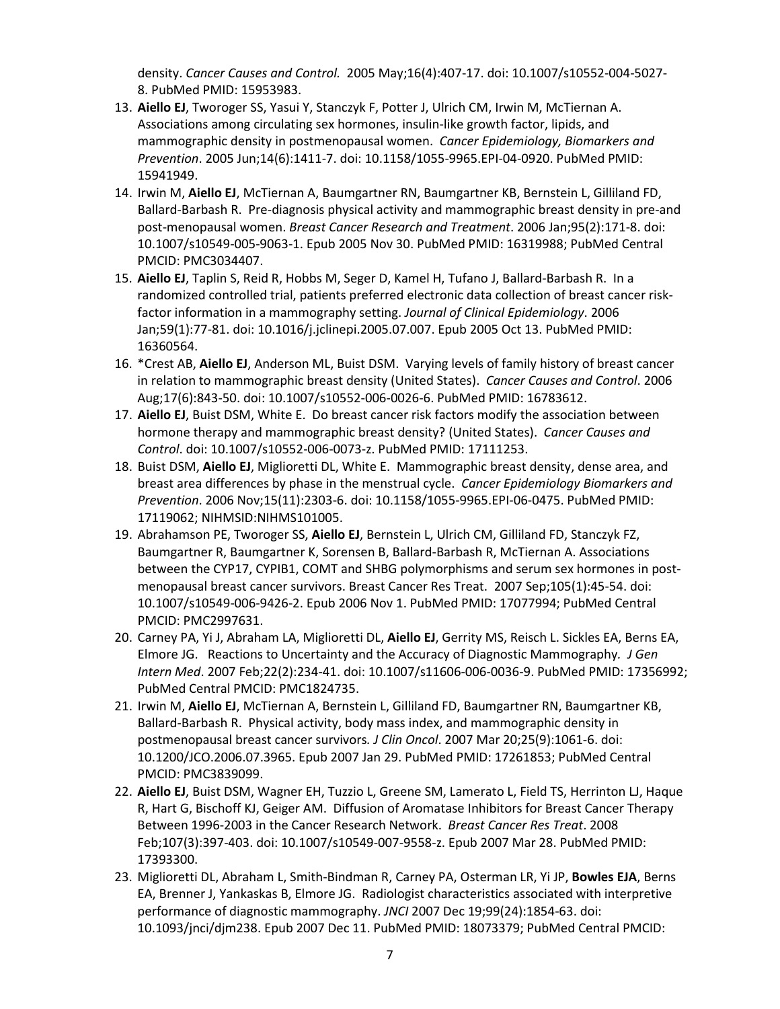density. *Cancer Causes and Control.* 2005 May;16(4):407-17. doi: 10.1007/s10552-004-5027- 8. PubMed PMID: 15953983.

- 13. **Aiello EJ**, Tworoger SS, Yasui Y, Stanczyk F, Potter J, Ulrich CM, Irwin M, McTiernan A. Associations among circulating sex hormones, insulin-like growth factor, lipids, and mammographic density in postmenopausal women. *Cancer Epidemiology, Biomarkers and Prevention*. 2005 Jun;14(6):1411-7. doi: 10.1158/1055-9965.EPI-04-0920. PubMed PMID: 15941949.
- 14. Irwin M, **Aiello EJ**, McTiernan A, Baumgartner RN, Baumgartner KB, Bernstein L, Gilliland FD, Ballard-Barbash R. Pre-diagnosis physical activity and mammographic breast density in pre-and post-menopausal women. *Breast Cancer Research and Treatment*. 2006 Jan;95(2):171-8. doi: 10.1007/s10549-005-9063-1. Epub 2005 Nov 30. PubMed PMID: 16319988; PubMed Central PMCID: PMC3034407.
- 15. **Aiello EJ**, Taplin S, Reid R, Hobbs M, Seger D, Kamel H, Tufano J, Ballard-Barbash R. In a randomized controlled trial, patients preferred electronic data collection of breast cancer riskfactor information in a mammography setting. *Journal of Clinical Epidemiology*. 2006 Jan;59(1):77-81. doi: 10.1016/j.jclinepi.2005.07.007. Epub 2005 Oct 13. PubMed PMID: 16360564.
- 16. \*Crest AB, **Aiello EJ**, Anderson ML, Buist DSM. Varying levels of family history of breast cancer in relation to mammographic breast density (United States). *Cancer Causes and Control*. 2006 Aug;17(6):843-50. doi: 10.1007/s10552-006-0026-6. PubMed PMID: 16783612.
- 17. **Aiello EJ**, Buist DSM, White E. Do breast cancer risk factors modify the association between hormone therapy and mammographic breast density? (United States). *Cancer Causes and Control*. doi: 10.1007/s10552-006-0073-z. PubMed PMID: 17111253.
- 18. Buist DSM, **Aiello EJ**, Miglioretti DL, White E. Mammographic breast density, dense area, and breast area differences by phase in the menstrual cycle. *Cancer Epidemiology Biomarkers and Prevention*. 2006 Nov;15(11):2303-6. doi: 10.1158/1055-9965.EPI-06-0475. PubMed PMID: 17119062; NIHMSID:NIHMS101005.
- 19. Abrahamson PE, Tworoger SS, **Aiello EJ**, Bernstein L, Ulrich CM, Gilliland FD, Stanczyk FZ, Baumgartner R, Baumgartner K, Sorensen B, Ballard-Barbash R, McTiernan A. Associations between the CYP17, CYPIB1, COMT and SHBG polymorphisms and serum sex hormones in postmenopausal breast cancer survivors. Breast Cancer Res Treat. 2007 Sep;105(1):45-54. doi: 10.1007/s10549-006-9426-2. Epub 2006 Nov 1. PubMed PMID: 17077994; PubMed Central PMCID: PMC2997631.
- 20. Carney PA, Yi J, Abraham LA, Miglioretti DL, **Aiello EJ**, Gerrity MS, Reisch L. Sickles EA, Berns EA, Elmore JG. Reactions to Uncertainty and the Accuracy of Diagnostic Mammography*. J Gen Intern Med*. 2007 Feb;22(2):234-41. doi: 10.1007/s11606-006-0036-9. PubMed PMID: 17356992; PubMed Central PMCID: PMC1824735.
- 21. Irwin M, **Aiello EJ**, McTiernan A, Bernstein L, Gilliland FD, Baumgartner RN, Baumgartner KB, Ballard-Barbash R. Physical activity, body mass index, and mammographic density in postmenopausal breast cancer survivors*. J Clin Oncol*. 2007 Mar 20;25(9):1061-6. doi: 10.1200/JCO.2006.07.3965. Epub 2007 Jan 29. PubMed PMID: 17261853; PubMed Central PMCID: PMC3839099.
- 22. **Aiello EJ**, Buist DSM, Wagner EH, Tuzzio L, Greene SM, Lamerato L, Field TS, Herrinton LJ, Haque R, Hart G, Bischoff KJ, Geiger AM. Diffusion of Aromatase Inhibitors for Breast Cancer Therapy Between 1996-2003 in the Cancer Research Network. *Breast Cancer Res Treat*. 2008 Feb;107(3):397-403. doi: 10.1007/s10549-007-9558-z. Epub 2007 Mar 28. PubMed PMID: 17393300.
- 23. Miglioretti DL, Abraham L, Smith-Bindman R, Carney PA, Osterman LR, Yi JP, **Bowles EJA**, Berns EA, Brenner J, Yankaskas B, Elmore JG. Radiologist characteristics associated with interpretive performance of diagnostic mammography. *JNCI* 2007 Dec 19;99(24):1854-63. doi: 10.1093/jnci/djm238. Epub 2007 Dec 11. PubMed PMID: 18073379; PubMed Central PMCID: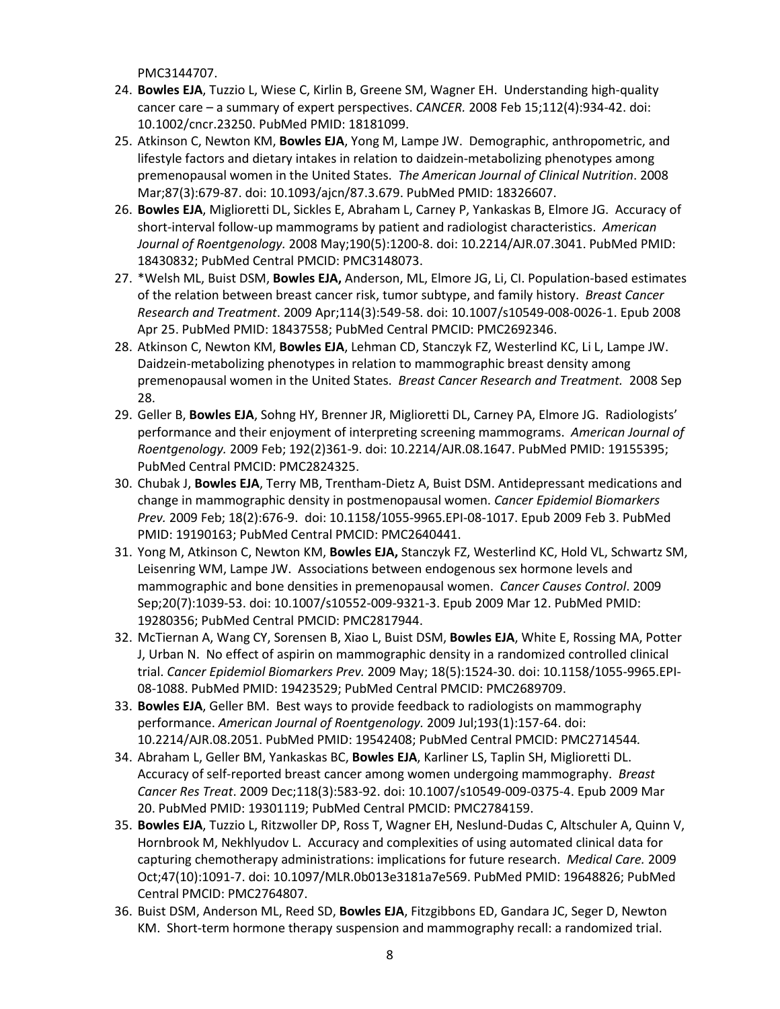PMC3144707.

- 24. **Bowles EJA**, Tuzzio L, Wiese C, Kirlin B, Greene SM, Wagner EH. Understanding high-quality cancer care – a summary of expert perspectives. *CANCER.* 2008 Feb 15;112(4):934-42. doi: 10.1002/cncr.23250. PubMed PMID: 18181099.
- 25. Atkinson C, Newton KM, **Bowles EJA**, Yong M, Lampe JW. Demographic, anthropometric, and lifestyle factors and dietary intakes in relation to daidzein-metabolizing phenotypes among premenopausal women in the United States. *The American Journal of Clinical Nutrition*. 2008 Mar;87(3):679-87. doi: 10.1093/ajcn/87.3.679. PubMed PMID: 18326607.
- 26. **Bowles EJA**, Miglioretti DL, Sickles E, Abraham L, Carney P, Yankaskas B, Elmore JG. Accuracy of short-interval follow-up mammograms by patient and radiologist characteristics. *American Journal of Roentgenology.* 2008 May;190(5):1200-8. doi: 10.2214/AJR.07.3041. PubMed PMID: 18430832; PubMed Central PMCID: PMC3148073.
- 27. \*Welsh ML, Buist DSM, **Bowles EJA,** Anderson, ML, Elmore JG, Li, CI. Population-based estimates of the relation between breast cancer risk, tumor subtype, and family history. *Breast Cancer Research and Treatment*. 2009 Apr;114(3):549-58. doi: 10.1007/s10549-008-0026-1. Epub 2008 Apr 25. PubMed PMID: 18437558; PubMed Central PMCID: PMC2692346.
- 28. Atkinson C, Newton KM, **Bowles EJA**, Lehman CD, Stanczyk FZ, Westerlind KC, Li L, Lampe JW. Daidzein-metabolizing phenotypes in relation to mammographic breast density among premenopausal women in the United States. *Breast Cancer Research and Treatment.* 2008 Sep 28.
- 29. Geller B, **Bowles EJA**, Sohng HY, Brenner JR, Miglioretti DL, Carney PA, Elmore JG. Radiologists' performance and their enjoyment of interpreting screening mammograms. *American Journal of Roentgenology.* 2009 Feb; 192(2)361-9. doi: 10.2214/AJR.08.1647. PubMed PMID: 19155395; PubMed Central PMCID: PMC2824325.
- 30. Chubak J, **Bowles EJA**, Terry MB, Trentham-Dietz A, Buist DSM. Antidepressant medications and change in mammographic density in postmenopausal women. *Cancer Epidemiol Biomarkers Prev.* 2009 Feb; 18(2):676-9. doi: 10.1158/1055-9965.EPI-08-1017. Epub 2009 Feb 3. PubMed PMID: 19190163; PubMed Central PMCID: PMC2640441.
- 31. Yong M, Atkinson C, Newton KM, **Bowles EJA,** Stanczyk FZ, Westerlind KC, Hold VL, Schwartz SM, Leisenring WM, Lampe JW. Associations between endogenous sex hormone levels and mammographic and bone densities in premenopausal women. *Cancer Causes Control*. 2009 Sep;20(7):1039-53. doi: 10.1007/s10552-009-9321-3. Epub 2009 Mar 12. PubMed PMID: 19280356; PubMed Central PMCID: PMC2817944.
- 32. McTiernan A, Wang CY, Sorensen B, Xiao L, Buist DSM, **Bowles EJA**, White E, Rossing MA, Potter J, Urban N. No effect of aspirin on mammographic density in a randomized controlled clinical trial. *Cancer Epidemiol Biomarkers Prev.* 2009 May; 18(5):1524-30. doi: 10.1158/1055-9965.EPI-08-1088. PubMed PMID: 19423529; PubMed Central PMCID: PMC2689709.
- 33. **Bowles EJA**, Geller BM. Best ways to provide feedback to radiologists on mammography performance. *American Journal of Roentgenology.* 2009 Jul;193(1):157-64. doi: 10.2214/AJR.08.2051. PubMed PMID: 19542408; PubMed Central PMCID: PMC2714544*.*
- 34. Abraham L, Geller BM, Yankaskas BC, **Bowles EJA**, Karliner LS, Taplin SH, Miglioretti DL. Accuracy of self-reported breast cancer among women undergoing mammography. *Breast Cancer Res Treat*. 2009 Dec;118(3):583-92. doi: 10.1007/s10549-009-0375-4. Epub 2009 Mar 20. PubMed PMID: 19301119; PubMed Central PMCID: PMC2784159.
- 35. **Bowles EJA**, Tuzzio L, Ritzwoller DP, Ross T, Wagner EH, Neslund-Dudas C, Altschuler A, Quinn V, Hornbrook M, Nekhlyudov L. Accuracy and complexities of using automated clinical data for capturing chemotherapy administrations: implications for future research. *Medical Care.* 2009 Oct;47(10):1091-7. doi: 10.1097/MLR.0b013e3181a7e569. PubMed PMID: 19648826; PubMed Central PMCID: PMC2764807.
- 36. Buist DSM, Anderson ML, Reed SD, **Bowles EJA**, Fitzgibbons ED, Gandara JC, Seger D, Newton KM. Short-term hormone therapy suspension and mammography recall: a randomized trial.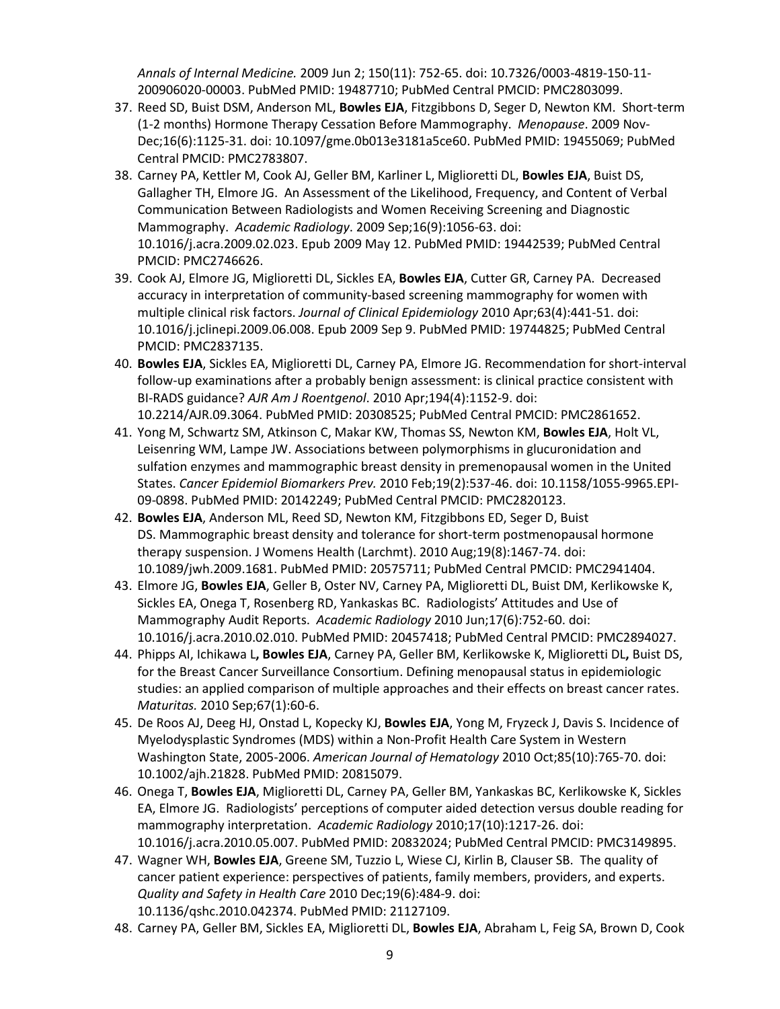*Annals of Internal Medicine.* 2009 Jun 2; 150(11): 752-65. doi: 10.7326/0003-4819-150-11- 200906020-00003. PubMed PMID: 19487710; PubMed Central PMCID: PMC2803099.

- 37. Reed SD, Buist DSM, Anderson ML, **Bowles EJA**, Fitzgibbons D, Seger D, Newton KM. Short-term (1-2 months) Hormone Therapy Cessation Before Mammography. *Menopause*. 2009 Nov-Dec;16(6):1125-31. doi: 10.1097/gme.0b013e3181a5ce60. PubMed PMID: 19455069; PubMed Central PMCID: PMC2783807.
- 38. Carney PA, Kettler M, Cook AJ, Geller BM, Karliner L, Miglioretti DL, **Bowles EJA**, Buist DS, Gallagher TH, Elmore JG. An Assessment of the Likelihood, Frequency, and Content of Verbal Communication Between Radiologists and Women Receiving Screening and Diagnostic Mammography. *Academic Radiology*. 2009 Sep;16(9):1056-63. doi: 10.1016/j.acra.2009.02.023. Epub 2009 May 12. PubMed PMID: 19442539; PubMed Central PMCID: PMC2746626.
- 39. Cook AJ, Elmore JG, Miglioretti DL, Sickles EA, **Bowles EJA**, Cutter GR, Carney PA. Decreased accuracy in interpretation of community-based screening mammography for women with multiple clinical risk factors. *Journal of Clinical Epidemiology* 2010 Apr;63(4):441-51. doi: 10.1016/j.jclinepi.2009.06.008. Epub 2009 Sep 9. PubMed PMID: 19744825; PubMed Central PMCID: PMC2837135.
- 40. **Bowles EJA**, Sickles EA, Miglioretti DL, Carney PA, Elmore JG. Recommendation for short-interval follow-up examinations after a probably benign assessment: is clinical practice consistent with BI-RADS guidance? *AJR Am J Roentgenol*. 2010 Apr;194(4):1152-9. doi: 10.2214/AJR.09.3064. PubMed PMID: 20308525; PubMed Central PMCID: PMC2861652.
- 41. Yong M, Schwartz SM, Atkinson C, Makar KW, Thomas SS, Newton KM, **Bowles EJA**, Holt VL, Leisenring WM, Lampe JW. Associations between polymorphisms in glucuronidation and sulfation enzymes and mammographic breast density in premenopausal women in the United States. *Cancer Epidemiol Biomarkers Prev.* 2010 Feb;19(2):537-46. doi: 10.1158/1055-9965.EPI-09-0898. PubMed PMID: 20142249; PubMed Central PMCID: PMC2820123.
- 42. **Bowles EJA**, Anderson ML, Reed SD, Newton KM, Fitzgibbons ED, Seger D, Buist DS. Mammographic breast density and tolerance for short-term postmenopausal hormone therapy suspension. J Womens Health (Larchmt). 2010 Aug;19(8):1467-74. doi: 10.1089/jwh.2009.1681. PubMed PMID: 20575711; PubMed Central PMCID: PMC2941404.
- 43. Elmore JG, **Bowles EJA**, Geller B, Oster NV, Carney PA, Miglioretti DL, Buist DM, Kerlikowske K, Sickles EA, Onega T, Rosenberg RD, Yankaskas BC. Radiologists' Attitudes and Use of Mammography Audit Reports. *Academic Radiology* 2010 Jun;17(6):752-60. doi: 10.1016/j.acra.2010.02.010. PubMed PMID: 20457418; PubMed Central PMCID: PMC2894027.
- 44. Phipps AI, Ichikawa L**, Bowles EJA**, Carney PA, Geller BM, Kerlikowske K, Miglioretti DL**,** Buist DS, for the Breast Cancer Surveillance Consortium. Defining menopausal status in epidemiologic studies: an applied comparison of multiple approaches and their effects on breast cancer rates. *Maturitas.* 2010 Sep;67(1):60-6.
- 45. De Roos AJ, Deeg HJ, Onstad L, Kopecky KJ, **Bowles EJA**, Yong M, Fryzeck J, Davis S. Incidence of Myelodysplastic Syndromes (MDS) within a Non-Profit Health Care System in Western Washington State, 2005-2006. *American Journal of Hematology* 2010 Oct;85(10):765-70. doi: 10.1002/ajh.21828. PubMed PMID: 20815079.
- 46. Onega T, **Bowles EJA**, Miglioretti DL, Carney PA, Geller BM, Yankaskas BC, Kerlikowske K, Sickles EA, Elmore JG. Radiologists' perceptions of computer aided detection versus double reading for mammography interpretation. *Academic Radiology* 2010;17(10):1217-26. doi: 10.1016/j.acra.2010.05.007. PubMed PMID: 20832024; PubMed Central PMCID: PMC3149895.
- 47. Wagner WH, **Bowles EJA**, Greene SM, Tuzzio L, Wiese CJ, Kirlin B, Clauser SB. The quality of cancer patient experience: perspectives of patients, family members, providers, and experts. *Quality and Safety in Health Care* 2010 Dec;19(6):484-9. doi: 10.1136/qshc.2010.042374. PubMed PMID: 21127109.
- 48. Carney PA, Geller BM, Sickles EA, Miglioretti DL, **Bowles EJA**, Abraham L, Feig SA, Brown D, Cook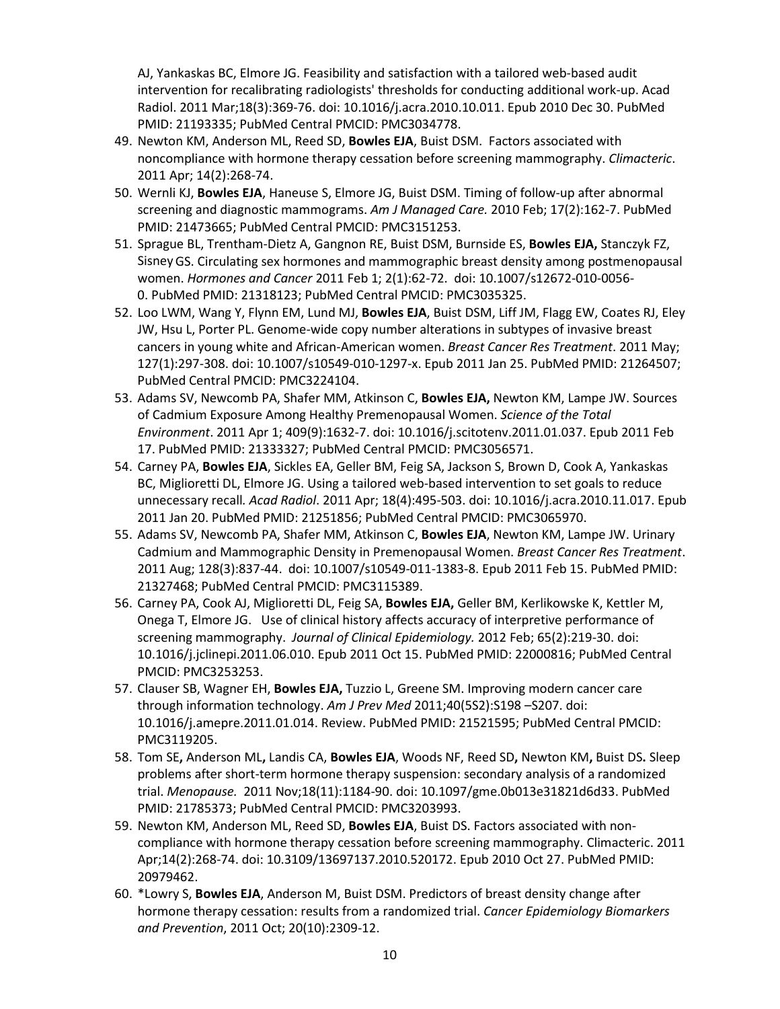AJ, Yankaskas BC, Elmore JG. Feasibility and satisfaction with a tailored web-based audit intervention for recalibrating radiologists' thresholds for conducting additional work-up. Acad Radiol. 2011 Mar;18(3):369-76. doi: 10.1016/j.acra.2010.10.011. Epub 2010 Dec 30. PubMed PMID: 21193335; PubMed Central PMCID: PMC3034778.

- 49. Newton KM, Anderson ML, Reed SD, **Bowles EJA**, Buist DSM. Factors associated with noncompliance with hormone therapy cessation before screening mammography. *Climacteric*. 2011 Apr; 14(2):268-74.
- 50. Wernli KJ, **Bowles EJA**, Haneuse S, Elmore JG, Buist DSM. Timing of follow-up after abnormal screening and diagnostic mammograms. *Am J Managed Care.* 2010 Feb; 17(2):162-7. PubMed PMID: 21473665; PubMed Central PMCID: PMC3151253.
- 51. Sprague BL, Trentham-Dietz A, Gangnon RE, Buist DSM, Burnside ES, **Bowles EJA,** Stanczyk FZ, SisneyGS. Circulating sex hormones and mammographic breast density among postmenopausal women. *Hormones and Cancer* 2011 Feb 1; 2(1):62-72. doi: 10.1007/s12672-010-0056- 0. PubMed PMID: 21318123; PubMed Central PMCID: PMC3035325.
- 52. Loo LWM, Wang Y, Flynn EM, Lund MJ, **Bowles EJA**, Buist DSM, Liff JM, Flagg EW, Coates RJ, Eley JW, Hsu L, Porter PL. Genome-wide copy number alterations in subtypes of invasive breast cancers in young white and African-American women. *Breast Cancer Res Treatment*. 2011 May; 127(1):297-308. doi: 10.1007/s10549-010-1297-x. Epub 2011 Jan 25. PubMed PMID: 21264507; PubMed Central PMCID: PMC3224104.
- 53. Adams SV, Newcomb PA, Shafer MM, Atkinson C, **Bowles EJA,** Newton KM, Lampe JW. Sources of Cadmium Exposure Among Healthy Premenopausal Women. *Science of the Total Environment*. 2011 Apr 1; 409(9):1632-7. doi: 10.1016/j.scitotenv.2011.01.037. Epub 2011 Feb 17. PubMed PMID: 21333327; PubMed Central PMCID: PMC3056571.
- 54. Carney PA, **Bowles EJA**, Sickles EA, Geller BM, Feig SA, Jackson S, Brown D, Cook A, Yankaskas BC, Miglioretti DL, Elmore JG. Using a tailored web-based intervention to set goals to reduce unnecessary recall*. Acad Radiol*. 2011 Apr; 18(4):495-503. doi: 10.1016/j.acra.2010.11.017. Epub 2011 Jan 20. PubMed PMID: 21251856; PubMed Central PMCID: PMC3065970.
- 55. Adams SV, Newcomb PA, Shafer MM, Atkinson C, **Bowles EJA**, Newton KM, Lampe JW. Urinary Cadmium and Mammographic Density in Premenopausal Women. *Breast Cancer Res Treatment*. 2011 Aug; 128(3):837-44. doi: 10.1007/s10549-011-1383-8. Epub 2011 Feb 15. PubMed PMID: 21327468; PubMed Central PMCID: PMC3115389.
- 56. Carney PA, Cook AJ, Miglioretti DL, Feig SA, **Bowles EJA,** Geller BM, Kerlikowske K, Kettler M, Onega T, Elmore JG. Use of clinical history affects accuracy of interpretive performance of screening mammography. *Journal of Clinical Epidemiology.* 2012 Feb; 65(2):219-30. doi: 10.1016/j.jclinepi.2011.06.010. Epub 2011 Oct 15. PubMed PMID: 22000816; PubMed Central PMCID: PMC3253253.
- 57. Clauser SB, Wagner EH, **Bowles EJA,** Tuzzio L, Greene SM. Improving modern cancer care through information technology. *Am J Prev Med* 2011;40(5S2):S198 –S207. doi: 10.1016/j.amepre.2011.01.014. Review. PubMed PMID: 21521595; PubMed Central PMCID: PMC3119205.
- 58. Tom SE**,** Anderson ML**,** Landis CA, **Bowles EJA**, Woods NF, Reed SD**,** Newton KM**,** Buist DS**.** Sleep problems after short-term hormone therapy suspension: secondary analysis of a randomized trial. *Menopause.* 2011 Nov;18(11):1184-90. doi: 10.1097/gme.0b013e31821d6d33. PubMed PMID: 21785373; PubMed Central PMCID: PMC3203993.
- 59. Newton KM, Anderson ML, Reed SD, **Bowles EJA**, Buist DS. Factors associated with noncompliance with hormone therapy cessation before screening mammography. Climacteric. 2011 Apr;14(2):268-74. doi: 10.3109/13697137.2010.520172. Epub 2010 Oct 27. PubMed PMID: 20979462.
- 60. \*Lowry S, **Bowles EJA**, Anderson M, Buist DSM. Predictors of breast density change after hormone therapy cessation: results from a randomized trial. *Cancer Epidemiology Biomarkers and Prevention*, 2011 Oct; 20(10):2309-12.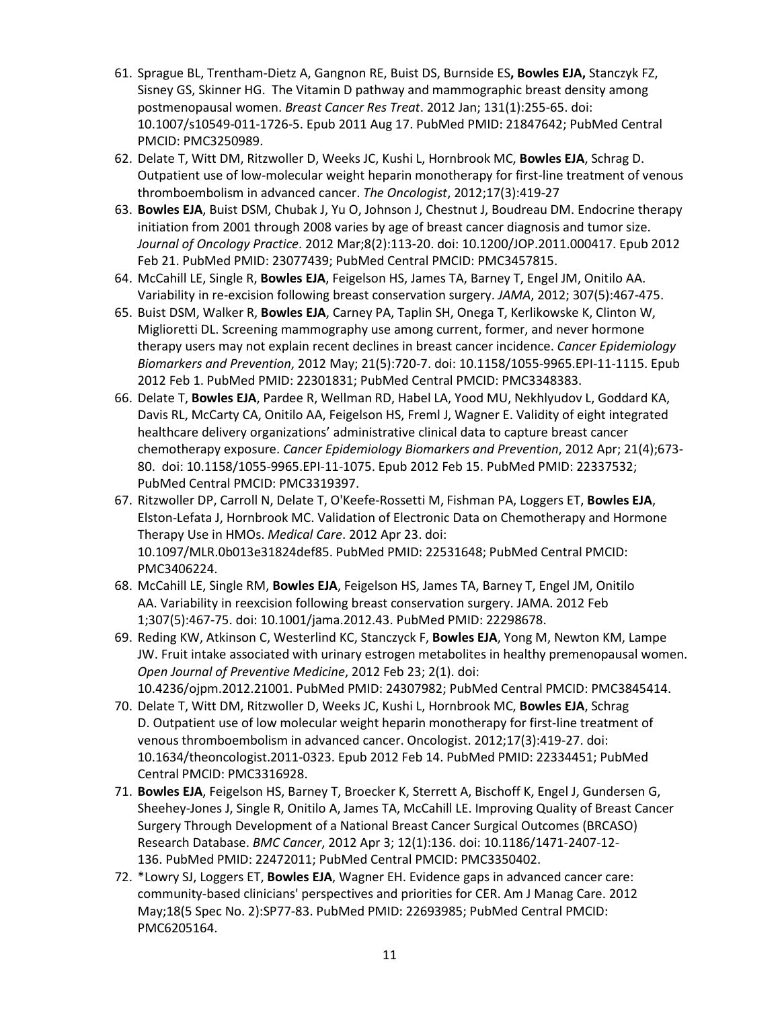- 61. Sprague BL, Trentham-Dietz A, Gangnon RE, Buist DS, Burnside ES**, Bowles EJA,** Stanczyk FZ, Sisney GS, Skinner HG. The Vitamin D pathway and mammographic breast density among postmenopausal women. *Breast Cancer Res Treat*. 2012 Jan; 131(1):255-65. doi: 10.1007/s10549-011-1726-5. Epub 2011 Aug 17. PubMed PMID: 21847642; PubMed Central PMCID: PMC3250989.
- 62. Delate T, Witt DM, Ritzwoller D, Weeks JC, Kushi L, Hornbrook MC, **Bowles EJA**, Schrag D. Outpatient use of low-molecular weight heparin monotherapy for first-line treatment of venous thromboembolism in advanced cancer. *The Oncologist*, 2012;17(3):419-27
- 63. **Bowles EJA**, Buist DSM, Chubak J, Yu O, Johnson J, Chestnut J, Boudreau DM. Endocrine therapy initiation from 2001 through 2008 varies by age of breast cancer diagnosis and tumor size. *Journal of Oncology Practice*. 2012 Mar;8(2):113-20. doi: 10.1200/JOP.2011.000417. Epub 2012 Feb 21. PubMed PMID: 23077439; PubMed Central PMCID: PMC3457815.
- 64. McCahill LE, Single R, **Bowles EJA**, Feigelson HS, James TA, Barney T, Engel JM, Onitilo AA. Variability in re-excision following breast conservation surgery. *JAMA*, 2012; 307(5):467-475.
- 65. Buist DSM, Walker R, **Bowles EJA**, Carney PA, Taplin SH, Onega T, Kerlikowske K, Clinton W, Miglioretti DL. Screening mammography use among current, former, and never hormone therapy users may not explain recent declines in breast cancer incidence. *Cancer Epidemiology Biomarkers and Prevention*, 2012 May; 21(5):720-7. doi: 10.1158/1055-9965.EPI-11-1115. Epub 2012 Feb 1. PubMed PMID: 22301831; PubMed Central PMCID: PMC3348383.
- 66. Delate T, **Bowles EJA**, Pardee R, Wellman RD, Habel LA, Yood MU, Nekhlyudov L, Goddard KA, Davis RL, McCarty CA, Onitilo AA, Feigelson HS, Freml J, Wagner E. Validity of eight integrated healthcare delivery organizations' administrative clinical data to capture breast cancer chemotherapy exposure. *Cancer Epidemiology Biomarkers and Prevention*, 2012 Apr; 21(4);673- 80. doi: 10.1158/1055-9965.EPI-11-1075. Epub 2012 Feb 15. PubMed PMID: 22337532; PubMed Central PMCID: PMC3319397.
- 67. Ritzwoller DP, Carroll N, Delate T, O'Keefe-Rossetti M, Fishman PA, Loggers ET, **Bowles EJA**, Elston-Lefata J, Hornbrook MC. Validation of Electronic Data on Chemotherapy and Hormone Therapy Use in HMOs. *Medical Care*. 2012 Apr 23. doi: 10.1097/MLR.0b013e31824def85. PubMed PMID: 22531648; PubMed Central PMCID: PMC3406224.
- 68. McCahill LE, Single RM, **Bowles EJA**, Feigelson HS, James TA, Barney T, Engel JM, Onitilo AA. Variability in reexcision following breast conservation surgery. JAMA. 2012 Feb 1;307(5):467-75. doi: 10.1001/jama.2012.43. PubMed PMID: 22298678.
- 69. Reding KW, Atkinson C, Westerlind KC, Stanczyck F, **Bowles EJA**, Yong M, Newton KM, Lampe JW. Fruit intake associated with urinary estrogen metabolites in healthy premenopausal women. *Open Journal of Preventive Medicine*, 2012 Feb 23; 2(1). doi: 10.4236/ojpm.2012.21001. PubMed PMID: 24307982; PubMed Central PMCID: PMC3845414.
- 70. Delate T, Witt DM, Ritzwoller D, Weeks JC, Kushi L, Hornbrook MC, **Bowles EJA**, Schrag D. Outpatient use of low molecular weight heparin monotherapy for first-line treatment of venous thromboembolism in advanced cancer. Oncologist. 2012;17(3):419-27. doi: 10.1634/theoncologist.2011-0323. Epub 2012 Feb 14. PubMed PMID: 22334451; PubMed Central PMCID: PMC3316928.
- 71. **Bowles EJA**, Feigelson HS, Barney T, Broecker K, Sterrett A, Bischoff K, Engel J, Gundersen G, Sheehey-Jones J, Single R, Onitilo A, James TA, McCahill LE. Improving Quality of Breast Cancer Surgery Through Development of a National Breast Cancer Surgical Outcomes (BRCASO) Research Database. *BMC Cancer*, 2012 Apr 3; 12(1):136. doi: 10.1186/1471-2407-12- 136. PubMed PMID: 22472011; PubMed Central PMCID: PMC3350402.
- 72. \*Lowry SJ, Loggers ET, **Bowles EJA**, Wagner EH. Evidence gaps in advanced cancer care: community-based clinicians' perspectives and priorities for CER. Am J Manag Care. 2012 May;18(5 Spec No. 2):SP77-83. PubMed PMID: 22693985; PubMed Central PMCID: PMC6205164.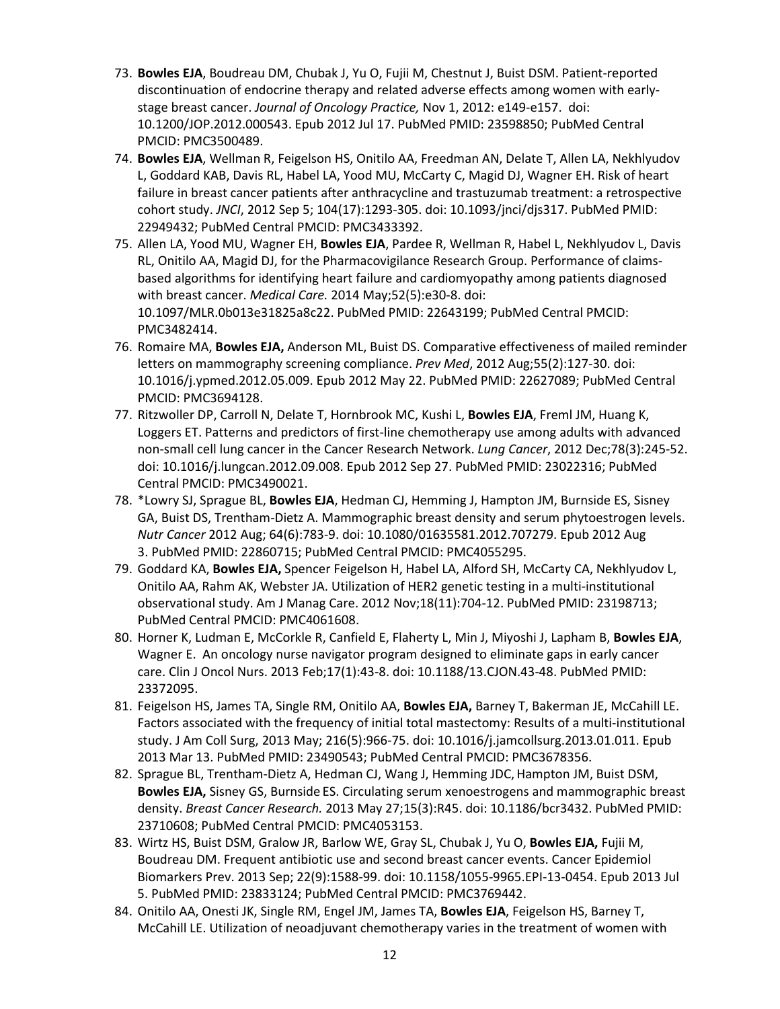- 73. **Bowles EJA**, Boudreau DM, Chubak J, Yu O, Fujii M, Chestnut J, Buist DSM. Patient-reported discontinuation of endocrine therapy and related adverse effects among women with earlystage breast cancer. *Journal of Oncology Practice,* Nov 1, 2012: e149-e157. doi: 10.1200/JOP.2012.000543. Epub 2012 Jul 17. PubMed PMID: 23598850; PubMed Central PMCID: PMC3500489.
- 74. **Bowles EJA**, Wellman R, Feigelson HS, Onitilo AA, Freedman AN, Delate T, Allen LA, Nekhlyudov L, Goddard KAB, Davis RL, Habel LA, Yood MU, McCarty C, Magid DJ, Wagner EH. Risk of heart failure in breast cancer patients after anthracycline and trastuzumab treatment: a retrospective cohort study. *JNCI*, 2012 Sep 5; 104(17):1293-305. doi: 10.1093/jnci/djs317. PubMed PMID: 22949432; PubMed Central PMCID: PMC3433392.
- 75. Allen LA, Yood MU, Wagner EH, **Bowles EJA**, Pardee R, Wellman R, Habel L, Nekhlyudov L, Davis RL, Onitilo AA, Magid DJ, for the Pharmacovigilance Research Group. Performance of claimsbased algorithms for identifying heart failure and cardiomyopathy among patients diagnosed with breast cancer. *Medical Care.* 2014 May;52(5):e30-8. doi: 10.1097/MLR.0b013e31825a8c22. PubMed PMID: 22643199; PubMed Central PMCID: PMC3482414.
- 76. Romaire MA, **Bowles EJA,** Anderson ML, Buist DS. Comparative effectiveness of mailed reminder letters on mammography screening compliance. *Prev Med*, 2012 Aug;55(2):127-30. doi: 10.1016/j.ypmed.2012.05.009. Epub 2012 May 22. PubMed PMID: 22627089; PubMed Central PMCID: PMC3694128.
- 77. Ritzwoller DP, Carroll N, Delate T, Hornbrook MC, Kushi L, **Bowles EJA**, Freml JM, Huang K, Loggers ET. Patterns and predictors of first-line chemotherapy use among adults with advanced non-small cell lung cancer in the Cancer Research Network. *Lung Cancer*, 2012 Dec;78(3):245-52. doi: 10.1016/j.lungcan.2012.09.008. Epub 2012 Sep 27. PubMed PMID: 23022316; PubMed Central PMCID: PMC3490021.
- 78. \*Lowry SJ, Sprague BL, **Bowles EJA**, Hedman CJ, Hemming J, Hampton JM, Burnside ES, Sisney GA, Buist DS, Trentham-Dietz A. Mammographic breast density and serum phytoestrogen levels. *Nutr Cancer* 2012 Aug; 64(6):783-9. doi: 10.1080/01635581.2012.707279. Epub 2012 Aug 3. PubMed PMID: 22860715; PubMed Central PMCID: PMC4055295.
- 79. Goddard KA, **Bowles EJA,** Spencer Feigelson H, Habel LA, Alford SH, McCarty CA, Nekhlyudov L, Onitilo AA, Rahm AK, Webster JA. Utilization of HER2 genetic testing in a multi-institutional observational study. Am J Manag Care. 2012 Nov;18(11):704-12. PubMed PMID: 23198713; PubMed Central PMCID: PMC4061608.
- 80. Horner K, Ludman E, McCorkle R, Canfield E, Flaherty L, Min J, Miyoshi J, Lapham B, **Bowles EJA**, Wagner E. An oncology nurse navigator program designed to eliminate gaps in early cancer care. Clin J Oncol Nurs. 2013 Feb;17(1):43-8. doi: 10.1188/13.CJON.43-48. PubMed PMID: 23372095.
- 81. Feigelson HS, James TA, Single RM, Onitilo AA, **Bowles EJA,** Barney T, Bakerman JE, McCahill LE. Factors associated with the frequency of initial total mastectomy: Results of a multi-institutional study. J Am Coll Surg, 2013 May; 216(5):966-75. doi: 10.1016/j.jamcollsurg.2013.01.011. Epub 2013 Mar 13. PubMed PMID: 23490543; PubMed Central PMCID: PMC3678356.
- 82. Sprague BL, Trentham-Dietz A, Hedman CJ, Wang J, Hemming JDC,Hampton JM, Buist DSM, **Bowles EJA,** Sisney GS, Burnside ES. Circulating serum xenoestrogens and mammographic breast density. *Breast Cancer Research.* 2013 May 27;15(3):R45. doi: 10.1186/bcr3432. PubMed PMID: 23710608; PubMed Central PMCID: PMC4053153.
- 83. Wirtz HS, Buist DSM, Gralow JR, Barlow WE, Gray SL, Chubak J, Yu O, **Bowles EJA,** Fujii M, Boudreau DM. Frequent antibiotic use and second breast cancer events. Cancer Epidemiol Biomarkers Prev. 2013 Sep; 22(9):1588-99. doi: 10.1158/1055-9965.EPI-13-0454. Epub 2013 Jul 5. PubMed PMID: 23833124; PubMed Central PMCID: PMC3769442.
- 84. Onitilo AA, Onesti JK, Single RM, Engel JM, James TA, **Bowles EJA**, Feigelson HS, Barney T, McCahill LE. Utilization of neoadjuvant chemotherapy varies in the treatment of women with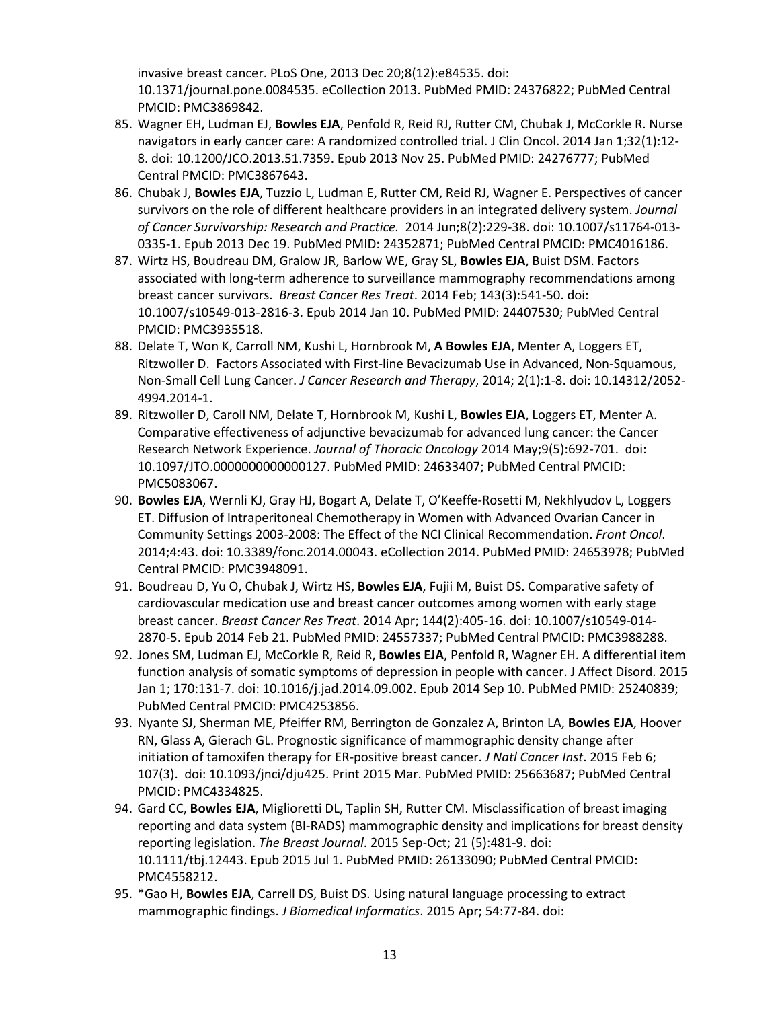invasive breast cancer. PLoS One, 2013 Dec 20;8(12):e84535. doi: 10.1371/journal.pone.0084535. eCollection 2013. PubMed PMID: 24376822; PubMed Central PMCID: PMC3869842.

- 85. Wagner EH, Ludman EJ, **Bowles EJA**, Penfold R, Reid RJ, Rutter CM, Chubak J, McCorkle R. Nurse navigators in early cancer care: A randomized controlled trial. J Clin Oncol. 2014 Jan 1;32(1):12- 8. doi: 10.1200/JCO.2013.51.7359. Epub 2013 Nov 25. PubMed PMID: 24276777; PubMed Central PMCID: PMC3867643.
- 86. Chubak J, **Bowles EJA**, Tuzzio L, Ludman E, Rutter CM, Reid RJ, Wagner E. Perspectives of cancer survivors on the role of different healthcare providers in an integrated delivery system. *Journal of Cancer Survivorship: Research and Practice.* 2014 Jun;8(2):229-38. doi: 10.1007/s11764-013- 0335-1. Epub 2013 Dec 19. PubMed PMID: 24352871; PubMed Central PMCID: PMC4016186.
- 87. Wirtz HS, Boudreau DM, Gralow JR, Barlow WE, Gray SL, **Bowles EJA**, Buist DSM. Factors associated with long-term adherence to surveillance mammography recommendations among breast cancer survivors. *Breast Cancer Res Treat*. 2014 Feb; 143(3):541-50. doi: 10.1007/s10549-013-2816-3. Epub 2014 Jan 10. PubMed PMID: 24407530; PubMed Central PMCID: PMC3935518.
- 88. Delate T, Won K, Carroll NM, Kushi L, Hornbrook M, **A Bowles EJA**, Menter A, Loggers ET, Ritzwoller D. Factors Associated with First-line Bevacizumab Use in Advanced, Non-Squamous, Non-Small Cell Lung Cancer. *J Cancer Research and Therapy*, 2014; 2(1):1-8. doi: 10.14312/2052- 4994.2014-1.
- 89. Ritzwoller D, Caroll NM, Delate T, Hornbrook M, Kushi L, **Bowles EJA**, Loggers ET, Menter A. Comparative effectiveness of adjunctive bevacizumab for advanced lung cancer: the Cancer Research Network Experience. *Journal of Thoracic Oncology* 2014 May;9(5):692-701. doi: 10.1097/JTO.0000000000000127. PubMed PMID: 24633407; PubMed Central PMCID: PMC5083067.
- 90. **Bowles EJA**, Wernli KJ, Gray HJ, Bogart A, Delate T, O'Keeffe-Rosetti M, Nekhlyudov L, Loggers ET. Diffusion of Intraperitoneal Chemotherapy in Women with Advanced Ovarian Cancer in Community Settings 2003-2008: The Effect of the NCI Clinical Recommendation. *Front Oncol*. 2014;4:43. doi: 10.3389/fonc.2014.00043. eCollection 2014. PubMed PMID: 24653978; PubMed Central PMCID: PMC3948091.
- 91. Boudreau D, Yu O, Chubak J, Wirtz HS, **Bowles EJA**, Fujii M, Buist DS. Comparative safety of cardiovascular medication use and breast cancer outcomes among women with early stage breast cancer. *Breast Cancer Res Treat*. 2014 Apr; 144(2):405-16. doi: 10.1007/s10549-014- 2870-5. Epub 2014 Feb 21. PubMed PMID: 24557337; PubMed Central PMCID: PMC3988288.
- 92. Jones SM, Ludman EJ, McCorkle R, Reid R, **Bowles EJA**, Penfold R, Wagner EH. A differential item function analysis of somatic symptoms of depression in people with cancer. J Affect Disord. 2015 Jan 1; 170:131-7. doi: 10.1016/j.jad.2014.09.002. Epub 2014 Sep 10. PubMed PMID: 25240839; PubMed Central PMCID: PMC4253856.
- 93. Nyante SJ, Sherman ME, Pfeiffer RM, Berrington de Gonzalez A, Brinton LA, **Bowles EJA**, Hoover RN, Glass A, Gierach GL. Prognostic significance of mammographic density change after initiation of tamoxifen therapy for ER-positive breast cancer. *J Natl Cancer Inst*. 2015 Feb 6; 107(3). doi: 10.1093/jnci/dju425. Print 2015 Mar. PubMed PMID: 25663687; PubMed Central PMCID: PMC4334825.
- 94. Gard CC, **Bowles EJA**, Miglioretti DL, Taplin SH, Rutter CM. Misclassification of breast imaging reporting and data system (BI-RADS) mammographic density and implications for breast density reporting legislation. *The Breast Journal*. 2015 Sep-Oct; 21 (5):481-9. doi: 10.1111/tbj.12443. Epub 2015 Jul 1. PubMed PMID: 26133090; PubMed Central PMCID: PMC4558212.
- 95. \*Gao H, **Bowles EJA**, Carrell DS, Buist DS. Using natural language processing to extract mammographic findings. *J Biomedical Informatics*. 2015 Apr; 54:77-84. doi: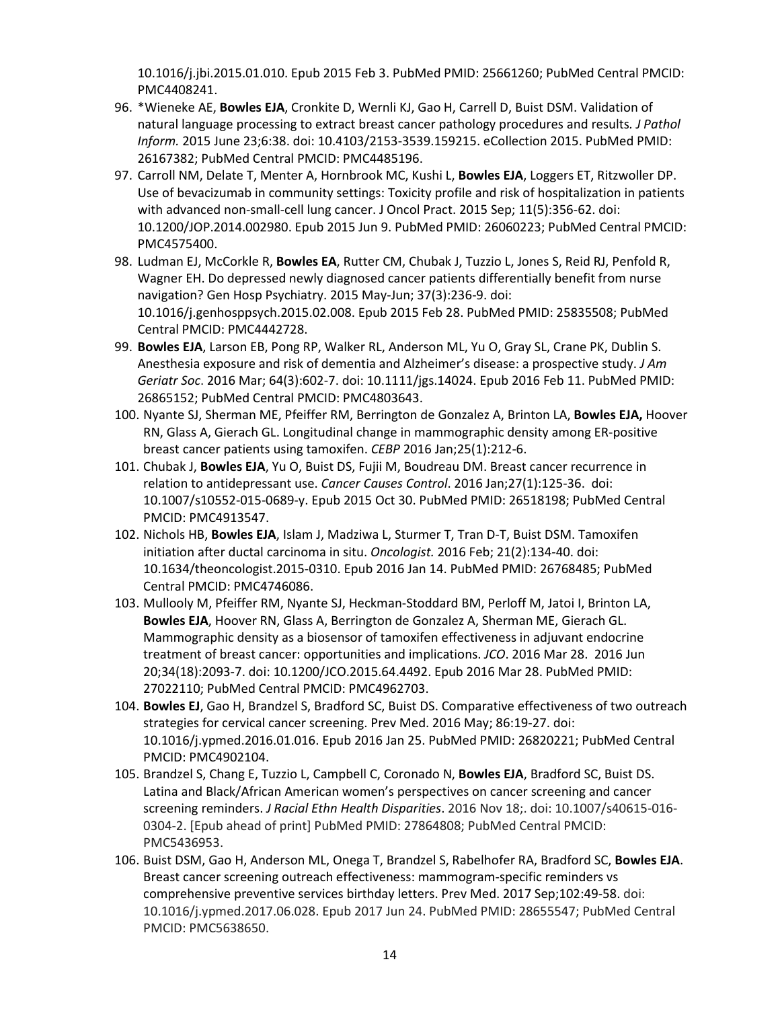10.1016/j.jbi.2015.01.010. Epub 2015 Feb 3. PubMed PMID: 25661260; PubMed Central PMCID: PMC4408241.

- 96. \*Wieneke AE, **Bowles EJA**, Cronkite D, Wernli KJ, Gao H, Carrell D, Buist DSM. Validation of natural language processing to extract breast cancer pathology procedures and results*. J Pathol Inform.* 2015 June 23;6:38. doi: 10.4103/2153-3539.159215. eCollection 2015. PubMed PMID: 26167382; PubMed Central PMCID: PMC4485196.
- 97. Carroll NM, Delate T, Menter A, Hornbrook MC, Kushi L, **Bowles EJA**, Loggers ET, Ritzwoller DP. Use of bevacizumab in community settings: Toxicity profile and risk of hospitalization in patients with advanced non-small-cell lung cancer. J Oncol Pract. 2015 Sep; 11(5):356-62. doi: 10.1200/JOP.2014.002980. Epub 2015 Jun 9. PubMed PMID: 26060223; PubMed Central PMCID: PMC4575400.
- 98. Ludman EJ, McCorkle R, **Bowles EA**, Rutter CM, Chubak J, Tuzzio L, Jones S, Reid RJ, Penfold R, Wagner EH. Do depressed newly diagnosed cancer patients differentially benefit from nurse navigation? Gen Hosp Psychiatry. 2015 May-Jun; 37(3):236-9. doi: 10.1016/j.genhosppsych.2015.02.008. Epub 2015 Feb 28. PubMed PMID: 25835508; PubMed Central PMCID: PMC4442728.
- 99. **Bowles EJA**, Larson EB, Pong RP, Walker RL, Anderson ML, Yu O, Gray SL, Crane PK, Dublin S. Anesthesia exposure and risk of dementia and Alzheimer's disease: a prospective study. *J Am Geriatr Soc*. 2016 Mar; 64(3):602-7. doi: 10.1111/jgs.14024. Epub 2016 Feb 11. PubMed PMID: 26865152; PubMed Central PMCID: PMC4803643.
- 100. Nyante SJ, Sherman ME, Pfeiffer RM, Berrington de Gonzalez A, Brinton LA, **Bowles EJA,** Hoover RN, Glass A, Gierach GL. Longitudinal change in mammographic density among ER-positive breast cancer patients using tamoxifen. *CEBP* 2016 Jan;25(1):212-6.
- 101. Chubak J, **Bowles EJA**, Yu O, Buist DS, Fujii M, Boudreau DM. Breast cancer recurrence in relation to antidepressant use. *Cancer Causes Control*. 2016 Jan;27(1):125-36. doi: 10.1007/s10552-015-0689-y. Epub 2015 Oct 30. PubMed PMID: 26518198; PubMed Central PMCID: PMC4913547.
- 102. Nichols HB, **Bowles EJA**, Islam J, Madziwa L, Sturmer T, Tran D-T, Buist DSM. Tamoxifen initiation after ductal carcinoma in situ. *Oncologist.* 2016 Feb; 21(2):134-40. doi: 10.1634/theoncologist.2015-0310. Epub 2016 Jan 14. PubMed PMID: 26768485; PubMed Central PMCID: PMC4746086.
- 103. Mullooly M, Pfeiffer RM, Nyante SJ, Heckman-Stoddard BM, Perloff M, Jatoi I, Brinton LA, **Bowles EJA**, Hoover RN, Glass A, Berrington de Gonzalez A, Sherman ME, Gierach GL. Mammographic density as a biosensor of tamoxifen effectiveness in adjuvant endocrine treatment of breast cancer: opportunities and implications. *JCO*. 2016 Mar 28. 2016 Jun 20;34(18):2093-7. doi: 10.1200/JCO.2015.64.4492. Epub 2016 Mar 28. PubMed PMID: 27022110; PubMed Central PMCID: PMC4962703.
- 104. **Bowles EJ**, Gao H, Brandzel S, Bradford SC, Buist DS. Comparative effectiveness of two outreach strategies for cervical cancer screening. Prev Med. 2016 May; 86:19-27. doi: 10.1016/j.ypmed.2016.01.016. Epub 2016 Jan 25. PubMed PMID: 26820221; PubMed Central PMCID: PMC4902104.
- 105. Brandzel S, Chang E, Tuzzio L, Campbell C, Coronado N, **Bowles EJA**, Bradford SC, Buist DS. Latina and Black/African American women's perspectives on cancer screening and cancer screening reminders. *J Racial Ethn Health Disparities*. 2016 Nov 18;. doi: 10.1007/s40615-016- 0304-2. [Epub ahead of print] PubMed PMID: 27864808; PubMed Central PMCID: PMC5436953.
- 106. Buist DSM, Gao H, Anderson ML, Onega T, Brandzel S, Rabelhofer RA, Bradford SC, **Bowles EJA**. Breast cancer screening outreach effectiveness: mammogram-specific reminders vs comprehensive preventive services birthday letters. Prev Med. 2017 Sep;102:49-58. doi: 10.1016/j.ypmed.2017.06.028. Epub 2017 Jun 24. PubMed PMID: 28655547; PubMed Central PMCID: PMC5638650.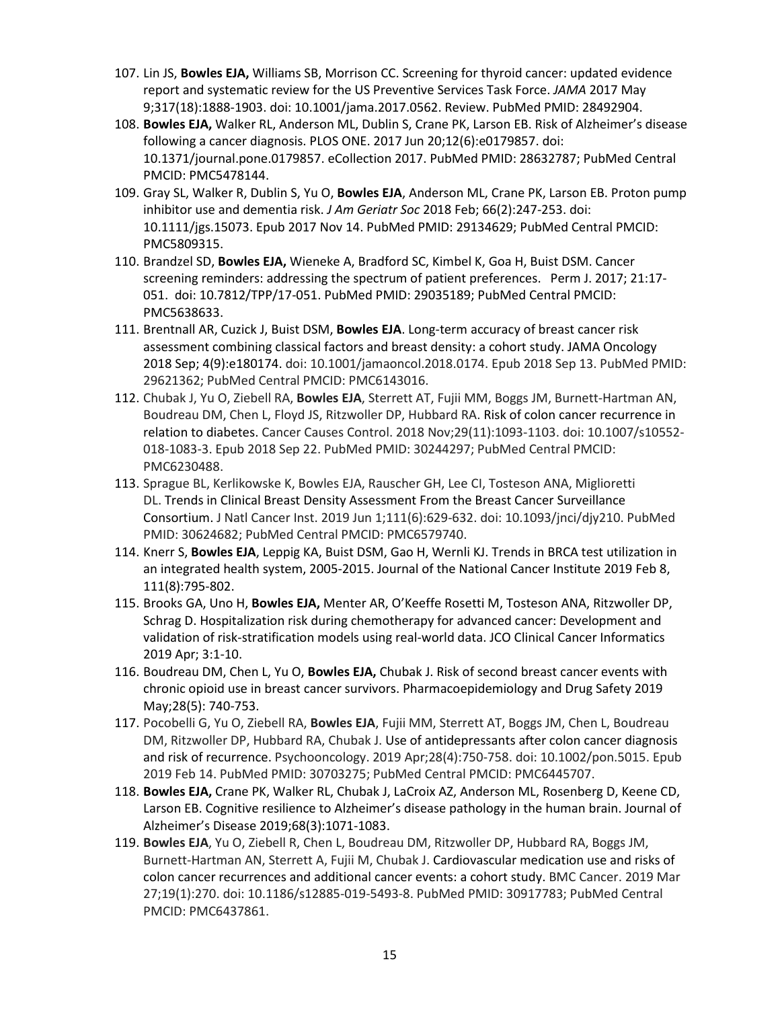- 107. Lin JS, **Bowles EJA,** Williams SB, Morrison CC. Screening for thyroid cancer: updated evidence report and systematic review for the US Preventive Services Task Force. *JAMA* 2017 May 9;317(18):1888-1903. doi: 10.1001/jama.2017.0562. Review. PubMed PMID: 28492904.
- 108. **Bowles EJA,** Walker RL, Anderson ML, Dublin S, Crane PK, Larson EB. Risk of Alzheimer's disease following a cancer diagnosis. PLOS ONE. 2017 Jun 20;12(6):e0179857. doi: 10.1371/journal.pone.0179857. eCollection 2017. PubMed PMID: 28632787; PubMed Central PMCID: PMC5478144.
- 109. Gray SL, Walker R, Dublin S, Yu O, **Bowles EJA**, Anderson ML, Crane PK, Larson EB. Proton pump inhibitor use and dementia risk. *J Am Geriatr Soc* 2018 Feb; 66(2):247-253. doi: 10.1111/jgs.15073. Epub 2017 Nov 14. PubMed PMID: 29134629; PubMed Central PMCID: PMC5809315.
- 110. Brandzel SD, **Bowles EJA,** Wieneke A, Bradford SC, Kimbel K, Goa H, Buist DSM. Cancer screening reminders: addressing the spectrum of patient preferences. Perm J. 2017; 21:17- 051. doi: 10.7812/TPP/17-051. PubMed PMID: 29035189; PubMed Central PMCID: PMC5638633.
- 111. Brentnall AR, Cuzick J, Buist DSM, **Bowles EJA**. Long-term accuracy of breast cancer risk assessment combining classical factors and breast density: a cohort study. JAMA Oncology 2018 Sep; 4(9):e180174. doi: 10.1001/jamaoncol.2018.0174. Epub 2018 Sep 13. PubMed PMID: 29621362; PubMed Central PMCID: PMC6143016.
- 112. Chubak J, Yu O, Ziebell RA, **Bowles EJA**, Sterrett AT, Fujii MM, Boggs JM, Burnett-Hartman AN, Boudreau DM, Chen L, Floyd JS, Ritzwoller DP, Hubbard RA. Risk of colon cancer recurrence in relation to diabetes. Cancer Causes Control. 2018 Nov;29(11):1093-1103. doi: 10.1007/s10552- 018-1083-3. Epub 2018 Sep 22. PubMed PMID: 30244297; PubMed Central PMCID: PMC6230488.
- 113. Sprague BL, Kerlikowske K, Bowles EJA, Rauscher GH, Lee CI, Tosteson ANA, Miglioretti DL. Trends in Clinical Breast Density Assessment From the Breast Cancer Surveillance Consortium. J Natl Cancer Inst. 2019 Jun 1;111(6):629-632. doi: 10.1093/jnci/djy210. PubMed PMID: 30624682; PubMed Central PMCID: PMC6579740.
- 114. Knerr S, **Bowles EJA**, Leppig KA, Buist DSM, Gao H, Wernli KJ. Trends in BRCA test utilization in an integrated health system, 2005-2015. Journal of the National Cancer Institute 2019 Feb 8, 111(8):795-802.
- 115. Brooks GA, Uno H, **Bowles EJA,** Menter AR, O'Keeffe Rosetti M, Tosteson ANA, Ritzwoller DP, Schrag D. Hospitalization risk during chemotherapy for advanced cancer: Development and validation of risk-stratification models using real-world data. JCO Clinical Cancer Informatics 2019 Apr; 3:1-10.
- 116. Boudreau DM, Chen L, Yu O, **Bowles EJA,** Chubak J. Risk of second breast cancer events with chronic opioid use in breast cancer survivors. Pharmacoepidemiology and Drug Safety 2019 May;28(5): 740-753.
- 117. Pocobelli G, Yu O, Ziebell RA, **Bowles EJA**, Fujii MM, Sterrett AT, Boggs JM, Chen L, Boudreau DM, Ritzwoller DP, Hubbard RA, Chubak J. Use of antidepressants after colon cancer diagnosis and risk of recurrence. Psychooncology. 2019 Apr;28(4):750-758. doi: 10.1002/pon.5015. Epub 2019 Feb 14. PubMed PMID: 30703275; PubMed Central PMCID: PMC6445707.
- 118. **Bowles EJA,** Crane PK, Walker RL, Chubak J, LaCroix AZ, Anderson ML, Rosenberg D, Keene CD, Larson EB. Cognitive resilience to Alzheimer's disease pathology in the human brain. Journal of Alzheimer's Disease 2019;68(3):1071-1083.
- 119. **Bowles EJA**, Yu O, Ziebell R, Chen L, Boudreau DM, Ritzwoller DP, Hubbard RA, Boggs JM, Burnett-Hartman AN, Sterrett A, Fujii M, Chubak J. Cardiovascular medication use and risks of colon cancer recurrences and additional cancer events: a cohort study. BMC Cancer. 2019 Mar 27;19(1):270. doi: 10.1186/s12885-019-5493-8. PubMed PMID: 30917783; PubMed Central PMCID: PMC6437861.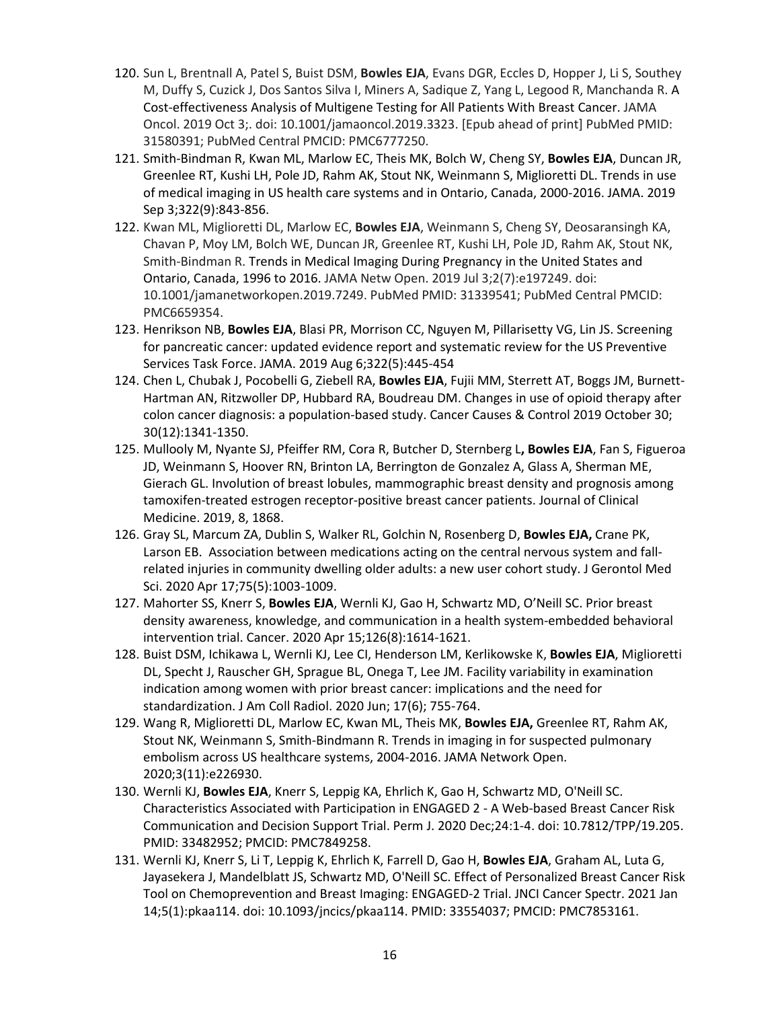- 120. Sun L, Brentnall A, Patel S, Buist DSM, **Bowles EJA**, Evans DGR, Eccles D, Hopper J, Li S, Southey M, Duffy S, Cuzick J, Dos Santos Silva I, Miners A, Sadique Z, Yang L, Legood R, Manchanda R. A Cost-effectiveness Analysis of Multigene Testing for All Patients With Breast Cancer. JAMA Oncol. 2019 Oct 3;. doi: 10.1001/jamaoncol.2019.3323. [Epub ahead of print] PubMed PMID: 31580391; PubMed Central PMCID: PMC6777250.
- 121. Smith-Bindman R, Kwan ML, Marlow EC, Theis MK, Bolch W, Cheng SY, **Bowles EJA**, Duncan JR, Greenlee RT, Kushi LH, Pole JD, Rahm AK, Stout NK, Weinmann S, Miglioretti DL. Trends in use of medical imaging in US health care systems and in Ontario, Canada, 2000-2016. JAMA. 2019 Sep 3;322(9):843-856.
- 122. Kwan ML, Miglioretti DL, Marlow EC, **Bowles EJA**, Weinmann S, Cheng SY, Deosaransingh KA, Chavan P, Moy LM, Bolch WE, Duncan JR, Greenlee RT, Kushi LH, Pole JD, Rahm AK, Stout NK, Smith-Bindman R. Trends in Medical Imaging During Pregnancy in the United States and Ontario, Canada, 1996 to 2016. JAMA Netw Open. 2019 Jul 3;2(7):e197249. doi: 10.1001/jamanetworkopen.2019.7249. PubMed PMID: 31339541; PubMed Central PMCID: PMC6659354.
- 123. Henrikson NB, **Bowles EJA**, Blasi PR, Morrison CC, Nguyen M, Pillarisetty VG, Lin JS. Screening for pancreatic cancer: updated evidence report and systematic review for the US Preventive Services Task Force. JAMA. 2019 Aug 6;322(5):445-454
- 124. Chen L, Chubak J, Pocobelli G, Ziebell RA, **Bowles EJA**, Fujii MM, Sterrett AT, Boggs JM, Burnett-Hartman AN, Ritzwoller DP, Hubbard RA, Boudreau DM. Changes in use of opioid therapy after colon cancer diagnosis: a population-based study. Cancer Causes & Control 2019 October 30; 30(12):1341-1350.
- 125. Mullooly M, Nyante SJ, Pfeiffer RM, Cora R, Butcher D, Sternberg L**, Bowles EJA**, Fan S, Figueroa JD, Weinmann S, Hoover RN, Brinton LA, Berrington de Gonzalez A, Glass A, Sherman ME, Gierach GL. Involution of breast lobules, mammographic breast density and prognosis among tamoxifen-treated estrogen receptor-positive breast cancer patients. Journal of Clinical Medicine. 2019, 8, 1868.
- 126. Gray SL, Marcum ZA, Dublin S, Walker RL, Golchin N, Rosenberg D, **Bowles EJA,** Crane PK, Larson EB. Association between medications acting on the central nervous system and fallrelated injuries in community dwelling older adults: a new user cohort study. J Gerontol Med Sci. 2020 Apr 17;75(5):1003-1009.
- 127. Mahorter SS, Knerr S, **Bowles EJA**, Wernli KJ, Gao H, Schwartz MD, O'Neill SC. Prior breast density awareness, knowledge, and communication in a health system-embedded behavioral intervention trial. Cancer. 2020 Apr 15;126(8):1614-1621.
- 128. Buist DSM, Ichikawa L, Wernli KJ, Lee CI, Henderson LM, Kerlikowske K, **Bowles EJA**, Miglioretti DL, Specht J, Rauscher GH, Sprague BL, Onega T, Lee JM. Facility variability in examination indication among women with prior breast cancer: implications and the need for standardization. J Am Coll Radiol. 2020 Jun; 17(6); 755-764.
- 129. Wang R, Miglioretti DL, Marlow EC, Kwan ML, Theis MK, **Bowles EJA,** Greenlee RT, Rahm AK, Stout NK, Weinmann S, Smith-Bindmann R. Trends in imaging in for suspected pulmonary embolism across US healthcare systems, 2004-2016. JAMA Network Open. 2020;3(11):e226930.
- 130. Wernli KJ, **Bowles EJA**, Knerr S, Leppig KA, Ehrlich K, Gao H, Schwartz MD, O'Neill SC. Characteristics Associated with Participation in ENGAGED 2 - A Web-based Breast Cancer Risk Communication and Decision Support Trial. Perm J. 2020 Dec;24:1-4. doi: 10.7812/TPP/19.205. PMID: 33482952; PMCID: PMC7849258.
- 131. Wernli KJ, Knerr S, Li T, Leppig K, Ehrlich K, Farrell D, Gao H, **Bowles EJA**, Graham AL, Luta G, Jayasekera J, Mandelblatt JS, Schwartz MD, O'Neill SC. Effect of Personalized Breast Cancer Risk Tool on Chemoprevention and Breast Imaging: ENGAGED-2 Trial. JNCI Cancer Spectr. 2021 Jan 14;5(1):pkaa114. doi: 10.1093/jncics/pkaa114. PMID: 33554037; PMCID: PMC7853161.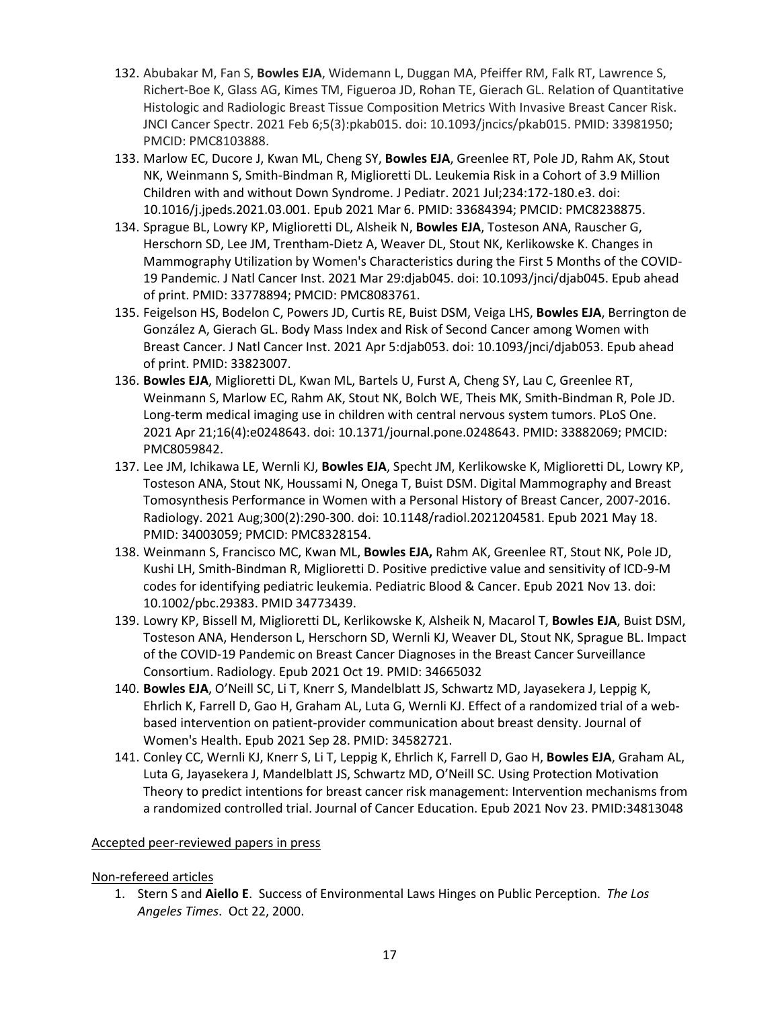- 132. Abubakar M, Fan S, **Bowles EJA**, Widemann L, Duggan MA, Pfeiffer RM, Falk RT, Lawrence S, Richert-Boe K, Glass AG, Kimes TM, Figueroa JD, Rohan TE, Gierach GL. Relation of Quantitative Histologic and Radiologic Breast Tissue Composition Metrics With Invasive Breast Cancer Risk. JNCI Cancer Spectr. 2021 Feb 6;5(3):pkab015. doi: 10.1093/jncics/pkab015. PMID: 33981950; PMCID: PMC8103888.
- 133. Marlow EC, Ducore J, Kwan ML, Cheng SY, **Bowles EJA**, Greenlee RT, Pole JD, Rahm AK, Stout NK, Weinmann S, Smith-Bindman R, Miglioretti DL. Leukemia Risk in a Cohort of 3.9 Million Children with and without Down Syndrome. J Pediatr. 2021 Jul;234:172-180.e3. doi: 10.1016/j.jpeds.2021.03.001. Epub 2021 Mar 6. PMID: 33684394; PMCID: PMC8238875.
- 134. Sprague BL, Lowry KP, Miglioretti DL, Alsheik N, **Bowles EJA**, Tosteson ANA, Rauscher G, Herschorn SD, Lee JM, Trentham-Dietz A, Weaver DL, Stout NK, Kerlikowske K. Changes in Mammography Utilization by Women's Characteristics during the First 5 Months of the COVID-19 Pandemic. J Natl Cancer Inst. 2021 Mar 29:djab045. doi: 10.1093/jnci/djab045. Epub ahead of print. PMID: 33778894; PMCID: PMC8083761.
- 135. Feigelson HS, Bodelon C, Powers JD, Curtis RE, Buist DSM, Veiga LHS, **Bowles EJA**, Berrington de González A, Gierach GL. Body Mass Index and Risk of Second Cancer among Women with Breast Cancer. J Natl Cancer Inst. 2021 Apr 5:djab053. doi: 10.1093/jnci/djab053. Epub ahead of print. PMID: 33823007.
- 136. **Bowles EJA**, Miglioretti DL, Kwan ML, Bartels U, Furst A, Cheng SY, Lau C, Greenlee RT, Weinmann S, Marlow EC, Rahm AK, Stout NK, Bolch WE, Theis MK, Smith-Bindman R, Pole JD. Long-term medical imaging use in children with central nervous system tumors. PLoS One. 2021 Apr 21;16(4):e0248643. doi: 10.1371/journal.pone.0248643. PMID: 33882069; PMCID: PMC8059842.
- 137. Lee JM, Ichikawa LE, Wernli KJ, **Bowles EJA**, Specht JM, Kerlikowske K, Miglioretti DL, Lowry KP, Tosteson ANA, Stout NK, Houssami N, Onega T, Buist DSM. Digital Mammography and Breast Tomosynthesis Performance in Women with a Personal History of Breast Cancer, 2007-2016. Radiology. 2021 Aug;300(2):290-300. doi: 10.1148/radiol.2021204581. Epub 2021 May 18. PMID: 34003059; PMCID: PMC8328154.
- 138. Weinmann S, Francisco MC, Kwan ML, **Bowles EJA,** Rahm AK, Greenlee RT, Stout NK, Pole JD, Kushi LH, Smith-Bindman R, Miglioretti D. Positive predictive value and sensitivity of ICD-9-M codes for identifying pediatric leukemia. Pediatric Blood & Cancer. Epub 2021 Nov 13. doi: 10.1002/pbc.29383. PMID 34773439.
- 139. Lowry KP, Bissell M, Miglioretti DL, Kerlikowske K, Alsheik N, Macarol T, **Bowles EJA**, Buist DSM, Tosteson ANA, Henderson L, Herschorn SD, Wernli KJ, Weaver DL, Stout NK, Sprague BL. Impact of the COVID-19 Pandemic on Breast Cancer Diagnoses in the Breast Cancer Surveillance Consortium. Radiology. Epub 2021 Oct 19. PMID: 34665032
- 140. **Bowles EJA**, O'Neill SC, Li T, Knerr S, Mandelblatt JS, Schwartz MD, Jayasekera J, Leppig K, Ehrlich K, Farrell D, Gao H, Graham AL, Luta G, Wernli KJ. Effect of a randomized trial of a webbased intervention on patient-provider communication about breast density. Journal of Women's Health. Epub 2021 Sep 28. PMID: 34582721.
- 141. Conley CC, Wernli KJ, Knerr S, Li T, Leppig K, Ehrlich K, Farrell D, Gao H, **Bowles EJA**, Graham AL, Luta G, Jayasekera J, Mandelblatt JS, Schwartz MD, O'Neill SC. Using Protection Motivation Theory to predict intentions for breast cancer risk management: Intervention mechanisms from a randomized controlled trial. Journal of Cancer Education. Epub 2021 Nov 23. PMID:34813048

#### Accepted peer-reviewed papers in press

#### Non-refereed articles

1. Stern S and **Aiello E**. Success of Environmental Laws Hinges on Public Perception. *The Los Angeles Times*. Oct 22, 2000.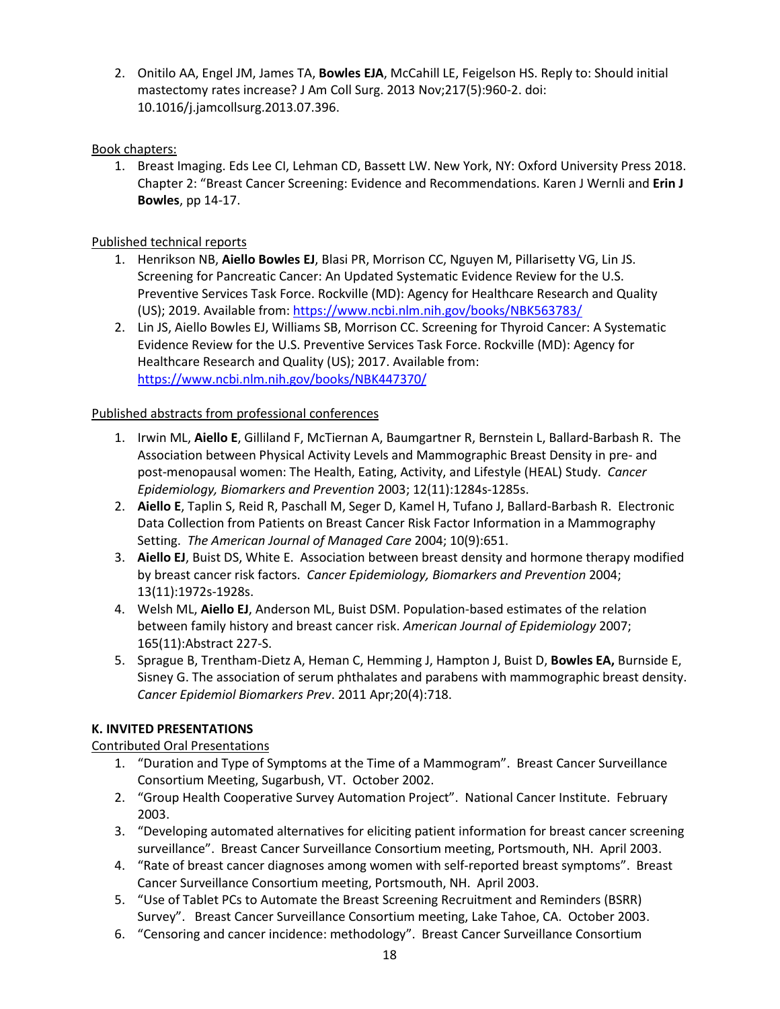2. Onitilo AA, Engel JM, James TA, **Bowles EJA**, McCahill LE, Feigelson HS. Reply to: Should initial mastectomy rates increase? J Am Coll Surg. 2013 Nov;217(5):960-2. doi: 10.1016/j.jamcollsurg.2013.07.396.

## Book chapters:

1. Breast Imaging. Eds Lee CI, Lehman CD, Bassett LW. New York, NY: Oxford University Press 2018. Chapter 2: "Breast Cancer Screening: Evidence and Recommendations. Karen J Wernli and **Erin J Bowles**, pp 14-17.

## Published technical reports

- 1. Henrikson NB, **Aiello Bowles EJ**, Blasi PR, Morrison CC, Nguyen M, Pillarisetty VG, Lin JS. Screening for Pancreatic Cancer: An Updated Systematic Evidence Review for the U.S. Preventive Services Task Force. Rockville (MD): Agency for Healthcare Research and Quality (US); 2019. Available from: <https://www.ncbi.nlm.nih.gov/books/NBK563783/>
- 2. Lin JS, Aiello Bowles EJ, Williams SB, Morrison CC. Screening for Thyroid Cancer: A Systematic Evidence Review for the U.S. Preventive Services Task Force. Rockville (MD): Agency for Healthcare Research and Quality (US); 2017. Available from: <https://www.ncbi.nlm.nih.gov/books/NBK447370/>

## Published abstracts from professional conferences

- 1. Irwin ML, **Aiello E**, Gilliland F, McTiernan A, Baumgartner R, Bernstein L, Ballard-Barbash R. The Association between Physical Activity Levels and Mammographic Breast Density in pre- and post-menopausal women: The Health, Eating, Activity, and Lifestyle (HEAL) Study. *Cancer Epidemiology, Biomarkers and Prevention* 2003; 12(11):1284s-1285s.
- 2. **Aiello E**, Taplin S, Reid R, Paschall M, Seger D, Kamel H, Tufano J, Ballard-Barbash R. Electronic Data Collection from Patients on Breast Cancer Risk Factor Information in a Mammography Setting. *The American Journal of Managed Care* 2004; 10(9):651.
- 3. **Aiello EJ**, Buist DS, White E. Association between breast density and hormone therapy modified by breast cancer risk factors. *Cancer Epidemiology, Biomarkers and Prevention* 2004; 13(11):1972s-1928s.
- 4. Welsh ML, **Aiello EJ**, Anderson ML, Buist DSM. Population-based estimates of the relation between family history and breast cancer risk. *American Journal of Epidemiology* 2007; 165(11):Abstract 227-S.
- 5. Sprague B, Trentham-Dietz A, Heman C, Hemming J, Hampton J, Buist D, **Bowles EA,** Burnside E, Sisney G. The association of serum phthalates and parabens with mammographic breast density. *Cancer Epidemiol Biomarkers Prev*. 2011 Apr;20(4):718.

# **K. INVITED PRESENTATIONS**

# Contributed Oral Presentations

- 1. "Duration and Type of Symptoms at the Time of a Mammogram". Breast Cancer Surveillance Consortium Meeting, Sugarbush, VT. October 2002.
- 2. "Group Health Cooperative Survey Automation Project". National Cancer Institute. February 2003.
- 3. "Developing automated alternatives for eliciting patient information for breast cancer screening surveillance". Breast Cancer Surveillance Consortium meeting, Portsmouth, NH. April 2003.
- 4. "Rate of breast cancer diagnoses among women with self-reported breast symptoms". Breast Cancer Surveillance Consortium meeting, Portsmouth, NH. April 2003.
- 5. "Use of Tablet PCs to Automate the Breast Screening Recruitment and Reminders (BSRR) Survey". Breast Cancer Surveillance Consortium meeting, Lake Tahoe, CA. October 2003.
- 6. "Censoring and cancer incidence: methodology". Breast Cancer Surveillance Consortium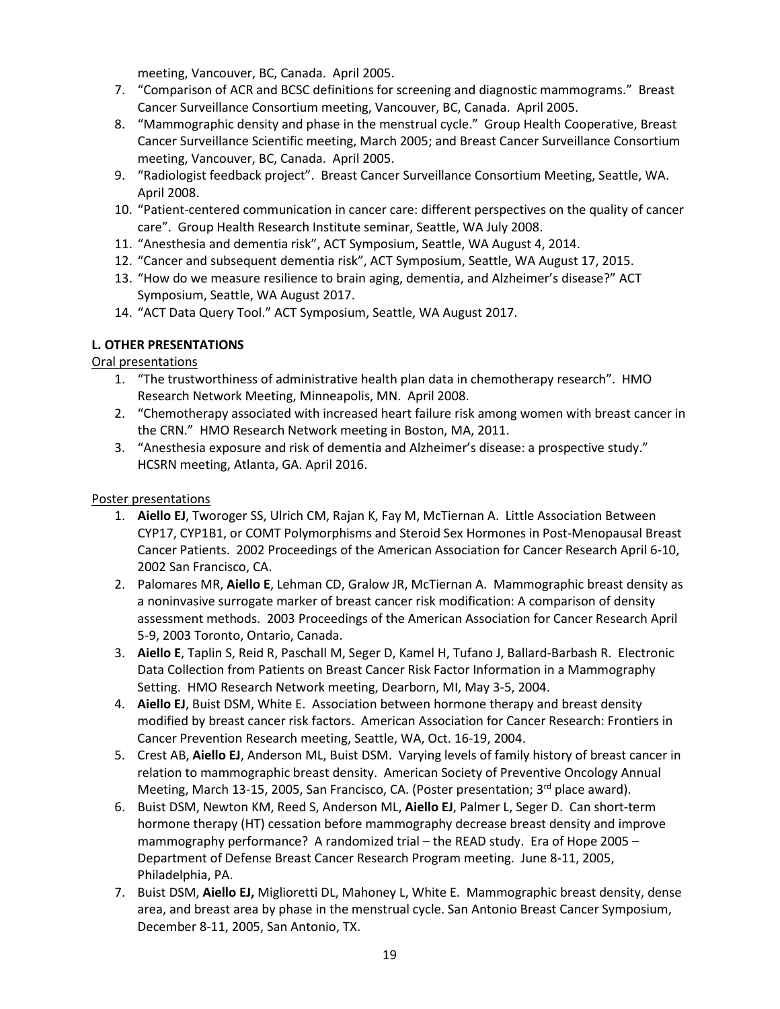meeting, Vancouver, BC, Canada. April 2005.

- 7. "Comparison of ACR and BCSC definitions for screening and diagnostic mammograms." Breast Cancer Surveillance Consortium meeting, Vancouver, BC, Canada. April 2005.
- 8. "Mammographic density and phase in the menstrual cycle." Group Health Cooperative, Breast Cancer Surveillance Scientific meeting, March 2005; and Breast Cancer Surveillance Consortium meeting, Vancouver, BC, Canada. April 2005.
- 9. "Radiologist feedback project". Breast Cancer Surveillance Consortium Meeting, Seattle, WA. April 2008.
- 10. "Patient-centered communication in cancer care: different perspectives on the quality of cancer care". Group Health Research Institute seminar, Seattle, WA July 2008.
- 11. "Anesthesia and dementia risk", ACT Symposium, Seattle, WA August 4, 2014.
- 12. "Cancer and subsequent dementia risk", ACT Symposium, Seattle, WA August 17, 2015.
- 13. "How do we measure resilience to brain aging, dementia, and Alzheimer's disease?" ACT Symposium, Seattle, WA August 2017.
- 14. "ACT Data Query Tool." ACT Symposium, Seattle, WA August 2017.

## **L. OTHER PRESENTATIONS**

## Oral presentations

- 1. "The trustworthiness of administrative health plan data in chemotherapy research". HMO Research Network Meeting, Minneapolis, MN. April 2008.
- 2. "Chemotherapy associated with increased heart failure risk among women with breast cancer in the CRN." HMO Research Network meeting in Boston, MA, 2011.
- 3. "Anesthesia exposure and risk of dementia and Alzheimer's disease: a prospective study." HCSRN meeting, Atlanta, GA. April 2016.

## Poster presentations

- 1. **Aiello EJ**, Tworoger SS, Ulrich CM, Rajan K, Fay M, McTiernan A. Little Association Between CYP17, CYP1B1, or COMT Polymorphisms and Steroid Sex Hormones in Post-Menopausal Breast Cancer Patients. 2002 Proceedings of the American Association for Cancer Research April 6-10, 2002 San Francisco, CA.
- 2. Palomares MR, **Aiello E**, Lehman CD, Gralow JR, McTiernan A. Mammographic breast density as a noninvasive surrogate marker of breast cancer risk modification: A comparison of density assessment methods. 2003 Proceedings of the American Association for Cancer Research April 5-9, 2003 Toronto, Ontario, Canada.
- 3. **Aiello E**, Taplin S, Reid R, Paschall M, Seger D, Kamel H, Tufano J, Ballard-Barbash R. Electronic Data Collection from Patients on Breast Cancer Risk Factor Information in a Mammography Setting. HMO Research Network meeting, Dearborn, MI, May 3-5, 2004.
- 4. **Aiello EJ**, Buist DSM, White E. Association between hormone therapy and breast density modified by breast cancer risk factors. American Association for Cancer Research: Frontiers in Cancer Prevention Research meeting, Seattle, WA, Oct. 16-19, 2004.
- 5. Crest AB, **Aiello EJ**, Anderson ML, Buist DSM. Varying levels of family history of breast cancer in relation to mammographic breast density. American Society of Preventive Oncology Annual Meeting, March 13-15, 2005, San Francisco, CA. (Poster presentation;  $3<sup>rd</sup>$  place award).
- 6. Buist DSM, Newton KM, Reed S, Anderson ML, **Aiello EJ**, Palmer L, Seger D. Can short-term hormone therapy (HT) cessation before mammography decrease breast density and improve mammography performance? A randomized trial – the READ study. Era of Hope 2005 – Department of Defense Breast Cancer Research Program meeting. June 8-11, 2005, Philadelphia, PA.
- 7. Buist DSM, **Aiello EJ,** Miglioretti DL, Mahoney L, White E. Mammographic breast density, dense area, and breast area by phase in the menstrual cycle. San Antonio Breast Cancer Symposium, December 8-11, 2005, San Antonio, TX.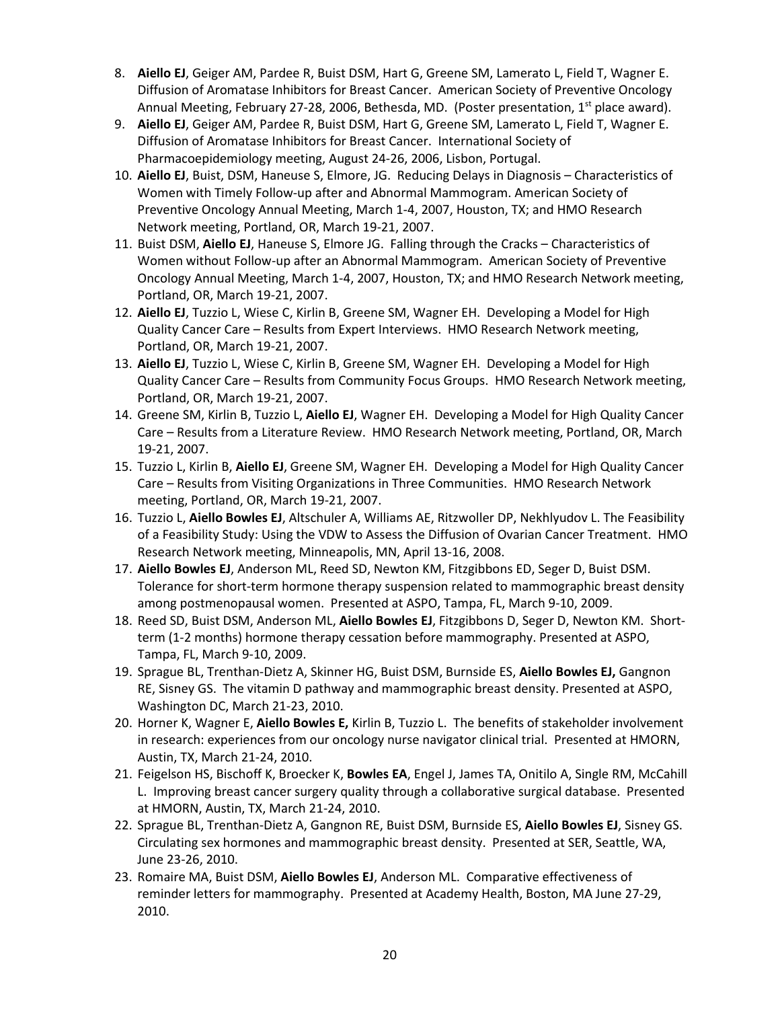- 8. **Aiello EJ**, Geiger AM, Pardee R, Buist DSM, Hart G, Greene SM, Lamerato L, Field T, Wagner E. Diffusion of Aromatase Inhibitors for Breast Cancer. American Society of Preventive Oncology Annual Meeting, February 27-28, 2006, Bethesda, MD. (Poster presentation,  $1<sup>st</sup>$  place award).
- 9. **Aiello EJ**, Geiger AM, Pardee R, Buist DSM, Hart G, Greene SM, Lamerato L, Field T, Wagner E. Diffusion of Aromatase Inhibitors for Breast Cancer. International Society of Pharmacoepidemiology meeting, August 24-26, 2006, Lisbon, Portugal.
- 10. **Aiello EJ**, Buist, DSM, Haneuse S, Elmore, JG. Reducing Delays in Diagnosis Characteristics of Women with Timely Follow-up after and Abnormal Mammogram. American Society of Preventive Oncology Annual Meeting, March 1-4, 2007, Houston, TX; and HMO Research Network meeting, Portland, OR, March 19-21, 2007.
- 11. Buist DSM, **Aiello EJ**, Haneuse S, Elmore JG. Falling through the Cracks Characteristics of Women without Follow-up after an Abnormal Mammogram. American Society of Preventive Oncology Annual Meeting, March 1-4, 2007, Houston, TX; and HMO Research Network meeting, Portland, OR, March 19-21, 2007.
- 12. **Aiello EJ**, Tuzzio L, Wiese C, Kirlin B, Greene SM, Wagner EH. Developing a Model for High Quality Cancer Care – Results from Expert Interviews. HMO Research Network meeting, Portland, OR, March 19-21, 2007.
- 13. **Aiello EJ**, Tuzzio L, Wiese C, Kirlin B, Greene SM, Wagner EH. Developing a Model for High Quality Cancer Care – Results from Community Focus Groups. HMO Research Network meeting, Portland, OR, March 19-21, 2007.
- 14. Greene SM, Kirlin B, Tuzzio L, **Aiello EJ**, Wagner EH. Developing a Model for High Quality Cancer Care – Results from a Literature Review. HMO Research Network meeting, Portland, OR, March 19-21, 2007.
- 15. Tuzzio L, Kirlin B, **Aiello EJ**, Greene SM, Wagner EH. Developing a Model for High Quality Cancer Care – Results from Visiting Organizations in Three Communities. HMO Research Network meeting, Portland, OR, March 19-21, 2007.
- 16. Tuzzio L, **Aiello Bowles EJ**, Altschuler A, Williams AE, Ritzwoller DP, Nekhlyudov L. The Feasibility of a Feasibility Study: Using the VDW to Assess the Diffusion of Ovarian Cancer Treatment. HMO Research Network meeting, Minneapolis, MN, April 13-16, 2008.
- 17. **Aiello Bowles EJ**, Anderson ML, Reed SD, Newton KM, Fitzgibbons ED, Seger D, Buist DSM. Tolerance for short-term hormone therapy suspension related to mammographic breast density among postmenopausal women. Presented at ASPO, Tampa, FL, March 9-10, 2009.
- 18. Reed SD, Buist DSM, Anderson ML, **Aiello Bowles EJ**, Fitzgibbons D, Seger D, Newton KM. Shortterm (1-2 months) hormone therapy cessation before mammography. Presented at ASPO, Tampa, FL, March 9-10, 2009.
- 19. Sprague BL, Trenthan-Dietz A, Skinner HG, Buist DSM, Burnside ES, **Aiello Bowles EJ,** Gangnon RE, Sisney GS. The vitamin D pathway and mammographic breast density. Presented at ASPO, Washington DC, March 21-23, 2010.
- 20. Horner K, Wagner E, **Aiello Bowles E,** Kirlin B, Tuzzio L. The benefits of stakeholder involvement in research: experiences from our oncology nurse navigator clinical trial. Presented at HMORN, Austin, TX, March 21-24, 2010.
- 21. Feigelson HS, Bischoff K, Broecker K, **Bowles EA**, Engel J, James TA, Onitilo A, Single RM, McCahill L. Improving breast cancer surgery quality through a collaborative surgical database. Presented at HMORN, Austin, TX, March 21-24, 2010.
- 22. Sprague BL, Trenthan-Dietz A, Gangnon RE, Buist DSM, Burnside ES, **Aiello Bowles EJ**, Sisney GS. Circulating sex hormones and mammographic breast density. Presented at SER, Seattle, WA, June 23-26, 2010.
- 23. Romaire MA, Buist DSM, **Aiello Bowles EJ**, Anderson ML. Comparative effectiveness of reminder letters for mammography. Presented at Academy Health, Boston, MA June 27-29, 2010.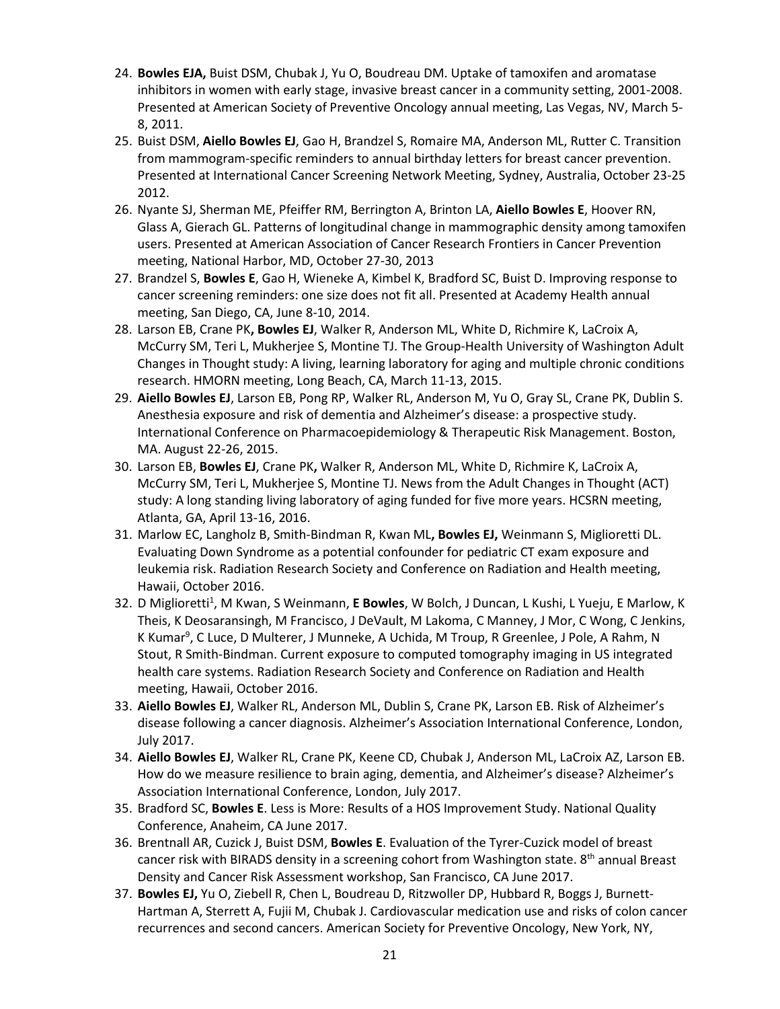- 24. **Bowles EJA,** Buist DSM, Chubak J, Yu O, Boudreau DM. Uptake of tamoxifen and aromatase inhibitors in women with early stage, invasive breast cancer in a community setting, 2001-2008. Presented at American Society of Preventive Oncology annual meeting, Las Vegas, NV, March 5- 8, 2011.
- 25. Buist DSM, **Aiello Bowles EJ**, Gao H, Brandzel S, Romaire MA, Anderson ML, Rutter C. Transition from mammogram-specific reminders to annual birthday letters for breast cancer prevention. Presented at International Cancer Screening Network Meeting, Sydney, Australia, October 23-25 2012.
- 26. Nyante SJ, Sherman ME, Pfeiffer RM, Berrington A, Brinton LA, **Aiello Bowles E**, Hoover RN, Glass A, Gierach GL. Patterns of longitudinal change in mammographic density among tamoxifen users. Presented at American Association of Cancer Research Frontiers in Cancer Prevention meeting, National Harbor, MD, October 27-30, 2013
- 27. Brandzel S, **Bowles E**, Gao H, Wieneke A, Kimbel K, Bradford SC, Buist D. Improving response to cancer screening reminders: one size does not fit all. Presented at Academy Health annual meeting, San Diego, CA, June 8-10, 2014.
- 28. Larson EB, Crane PK**, Bowles EJ**, Walker R, Anderson ML, White D, Richmire K, LaCroix A, McCurry SM, Teri L, Mukherjee S, Montine TJ. The Group-Health University of Washington Adult Changes in Thought study: A living, learning laboratory for aging and multiple chronic conditions research. HMORN meeting, Long Beach, CA, March 11-13, 2015.
- 29. **Aiello Bowles EJ**, Larson EB, Pong RP, Walker RL, Anderson M, Yu O, Gray SL, Crane PK, Dublin S. Anesthesia exposure and risk of dementia and Alzheimer's disease: a prospective study. International Conference on Pharmacoepidemiology & Therapeutic Risk Management. Boston, MA. August 22-26, 2015.
- 30. Larson EB, **Bowles EJ**, Crane PK**,** Walker R, Anderson ML, White D, Richmire K, LaCroix A, McCurry SM, Teri L, Mukherjee S, Montine TJ. News from the Adult Changes in Thought (ACT) study: A long standing living laboratory of aging funded for five more years. HCSRN meeting, Atlanta, GA, April 13-16, 2016.
- 31. Marlow EC, Langholz B, Smith-Bindman R, Kwan ML**, Bowles EJ,** Weinmann S, Miglioretti DL. Evaluating Down Syndrome as a potential confounder for pediatric CT exam exposure and leukemia risk. Radiation Research Society and Conference on Radiation and Health meeting, Hawaii, October 2016.
- 32. D Miglioretti<sup>1</sup>, M Kwan, S Weinmann, **E Bowles**, W Bolch, J Duncan, L Kushi, L Yueju, E Marlow, K Theis, K Deosaransingh, M Francisco, J DeVault, M Lakoma, C Manney, J Mor, C Wong, C Jenkins, K Kumar<sup>9</sup>, C Luce, D Multerer, J Munneke, A Uchida, M Troup, R Greenlee, J Pole, A Rahm, N Stout, R Smith-Bindman. Current exposure to computed tomography imaging in US integrated health care systems. Radiation Research Society and Conference on Radiation and Health meeting, Hawaii, October 2016.
- 33. **Aiello Bowles EJ**, Walker RL, Anderson ML, Dublin S, Crane PK, Larson EB. Risk of Alzheimer's disease following a cancer diagnosis. Alzheimer's Association International Conference, London, July 2017.
- 34. **Aiello Bowles EJ**, Walker RL, Crane PK, Keene CD, Chubak J, Anderson ML, LaCroix AZ, Larson EB. How do we measure resilience to brain aging, dementia, and Alzheimer's disease? Alzheimer's Association International Conference, London, July 2017.
- 35. Bradford SC, **Bowles E**. Less is More: Results of a HOS Improvement Study. National Quality Conference, Anaheim, CA June 2017.
- 36. Brentnall AR, Cuzick J, Buist DSM, **Bowles E**. Evaluation of the Tyrer-Cuzick model of breast cancer risk with BIRADS density in a screening cohort from Washington state. 8th annual Breast Density and Cancer Risk Assessment workshop, San Francisco, CA June 2017.
- 37. **Bowles EJ,** Yu O, Ziebell R, Chen L, Boudreau D, Ritzwoller DP, Hubbard R, Boggs J, Burnett-Hartman A, Sterrett A, Fujii M, Chubak J. Cardiovascular medication use and risks of colon cancer recurrences and second cancers. American Society for Preventive Oncology, New York, NY,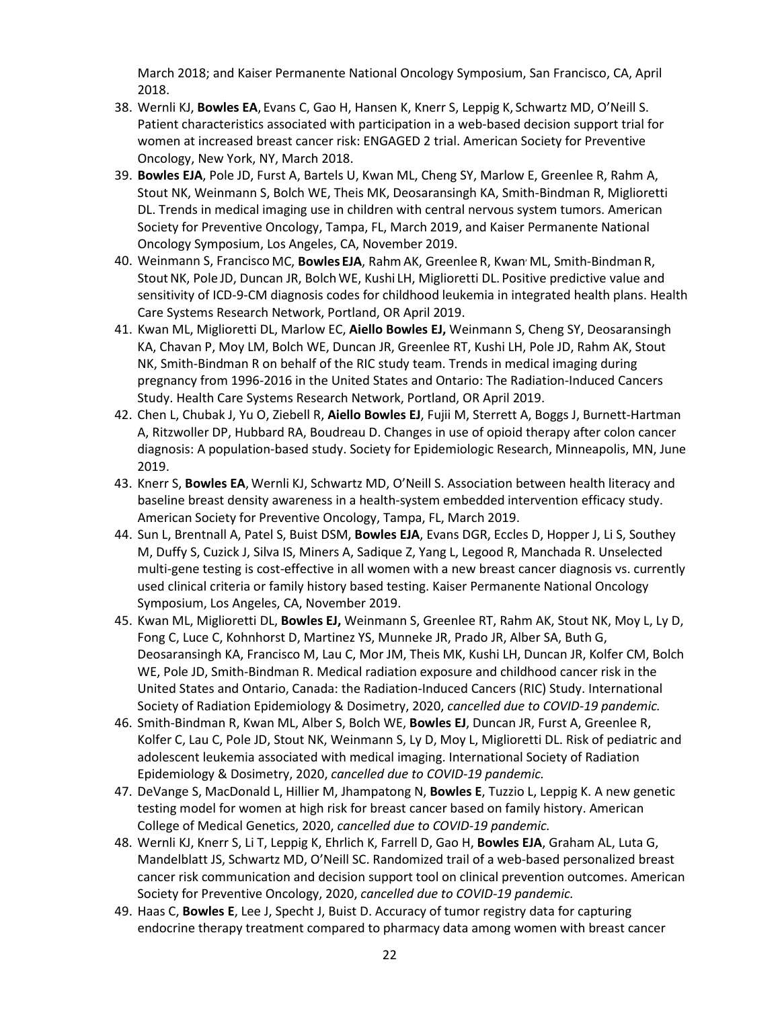March 2018; and Kaiser Permanente National Oncology Symposium, San Francisco, CA, April 2018.

- 38. Wernli KJ, **Bowles EA**, Evans C, Gao H, Hansen K, Knerr S, Leppig K, Schwartz MD, O'Neill S. Patient characteristics associated with participation in a web-based decision support trial for women at increased breast cancer risk: ENGAGED 2 trial. American Society for Preventive Oncology, New York, NY, March 2018.
- 39. **Bowles EJA**, Pole JD, Furst A, Bartels U, Kwan ML, Cheng SY, Marlow E, Greenlee R, Rahm A, Stout NK, Weinmann S, Bolch WE, Theis MK, Deosaransingh KA, Smith-Bindman R, Miglioretti DL. Trends in medical imaging use in children with central nervous system tumors. American Society for Preventive Oncology, Tampa, FL, March 2019, and Kaiser Permanente National Oncology Symposium, Los Angeles, CA, November 2019.
- 40. Weinmann S, Francisco MC, **Bowles EJA**, RahmAK, Greenlee R, Kwan, ML, Smith-Bindman R, Stout NK, Pole JD, Duncan JR, Bolch WE, Kushi LH, Miglioretti DL. Positive predictive value and sensitivity of ICD-9-CM diagnosis codes for childhood leukemia in integrated health plans. Health Care Systems Research Network, Portland, OR April 2019.
- 41. Kwan ML, Miglioretti DL, Marlow EC, **Aiello Bowles EJ,** Weinmann S, Cheng SY, Deosaransingh KA, Chavan P, Moy LM, Bolch WE, Duncan JR, Greenlee RT, Kushi LH, Pole JD, Rahm AK, Stout NK, Smith-Bindman R on behalf of the RIC study team. Trends in medical imaging during pregnancy from 1996-2016 in the United States and Ontario: The Radiation-Induced Cancers Study. Health Care Systems Research Network, Portland, OR April 2019.
- 42. Chen L, Chubak J, Yu O, Ziebell R, **Aiello Bowles EJ**, Fujii M, Sterrett A, Boggs J, Burnett-Hartman A, Ritzwoller DP, Hubbard RA, Boudreau D. Changes in use of opioid therapy after colon cancer diagnosis: A population-based study. Society for Epidemiologic Research, Minneapolis, MN, June 2019.
- 43. Knerr S, **Bowles EA**, Wernli KJ, Schwartz MD, O'Neill S. Association between health literacy and baseline breast density awareness in a health-system embedded intervention efficacy study. American Society for Preventive Oncology, Tampa, FL, March 2019.
- 44. Sun L, Brentnall A, Patel S, Buist DSM, **Bowles EJA**, Evans DGR, Eccles D, Hopper J, Li S, Southey M, Duffy S, Cuzick J, Silva IS, Miners A, Sadique Z, Yang L, Legood R, Manchada R. Unselected multi-gene testing is cost-effective in all women with a new breast cancer diagnosis vs. currently used clinical criteria or family history based testing. Kaiser Permanente National Oncology Symposium, Los Angeles, CA, November 2019.
- 45. Kwan ML, Miglioretti DL, **Bowles EJ,** Weinmann S, Greenlee RT, Rahm AK, Stout NK, Moy L, Ly D, Fong C, Luce C, Kohnhorst D, Martinez YS, Munneke JR, Prado JR, Alber SA, Buth G, Deosaransingh KA, Francisco M, Lau C, Mor JM, Theis MK, Kushi LH, Duncan JR, Kolfer CM, Bolch WE, Pole JD, Smith-Bindman R. Medical radiation exposure and childhood cancer risk in the United States and Ontario, Canada: the Radiation-Induced Cancers (RIC) Study. International Society of Radiation Epidemiology & Dosimetry, 2020, *cancelled due to COVID-19 pandemic.*
- 46. Smith-Bindman R, Kwan ML, Alber S, Bolch WE, **Bowles EJ**, Duncan JR, Furst A, Greenlee R, Kolfer C, Lau C, Pole JD, Stout NK, Weinmann S, Ly D, Moy L, Miglioretti DL. Risk of pediatric and adolescent leukemia associated with medical imaging. International Society of Radiation Epidemiology & Dosimetry, 2020, *cancelled due to COVID-19 pandemic.*
- 47. DeVange S, MacDonald L, Hillier M, Jhampatong N, **Bowles E**, Tuzzio L, Leppig K. A new genetic testing model for women at high risk for breast cancer based on family history. American College of Medical Genetics, 2020, *cancelled due to COVID-19 pandemic.*
- 48. Wernli KJ, Knerr S, Li T, Leppig K, Ehrlich K, Farrell D, Gao H, **Bowles EJA**, Graham AL, Luta G, Mandelblatt JS, Schwartz MD, O'Neill SC. Randomized trail of a web-based personalized breast cancer risk communication and decision support tool on clinical prevention outcomes. American Society for Preventive Oncology, 2020, *cancelled due to COVID-19 pandemic.*
- 49. Haas C, **Bowles E**, Lee J, Specht J, Buist D. Accuracy of tumor registry data for capturing endocrine therapy treatment compared to pharmacy data among women with breast cancer